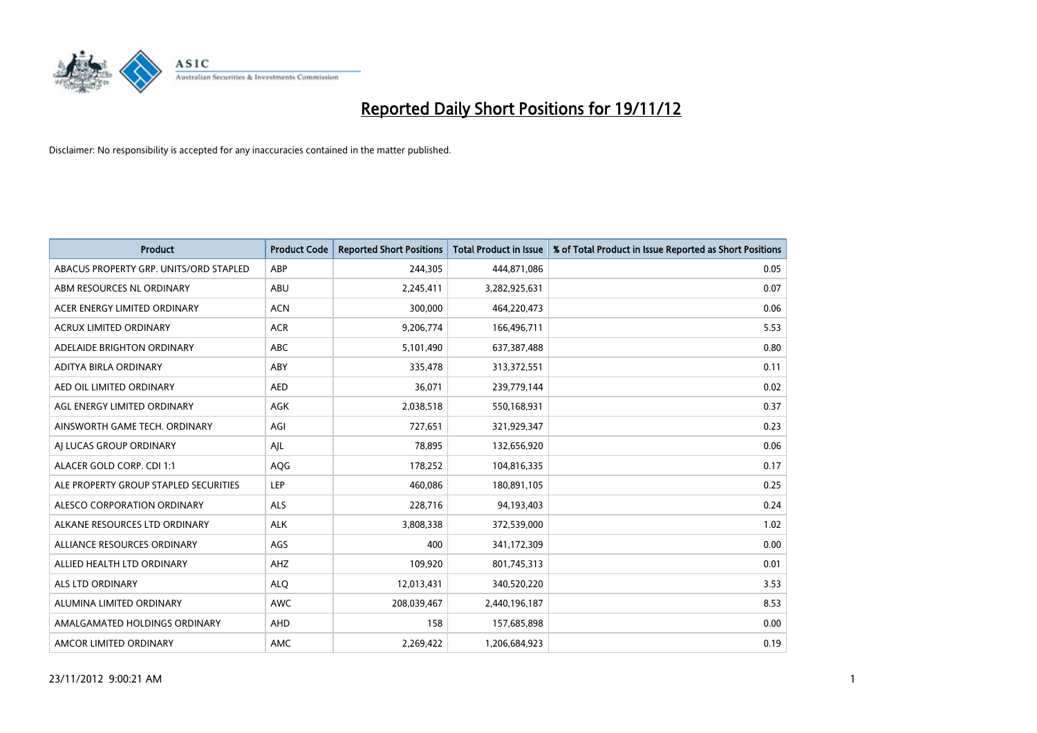

| <b>Product</b>                         | <b>Product Code</b> | <b>Reported Short Positions</b> | Total Product in Issue | % of Total Product in Issue Reported as Short Positions |
|----------------------------------------|---------------------|---------------------------------|------------------------|---------------------------------------------------------|
| ABACUS PROPERTY GRP. UNITS/ORD STAPLED | ABP                 | 244,305                         | 444,871,086            | 0.05                                                    |
| ABM RESOURCES NL ORDINARY              | ABU                 | 2,245,411                       | 3,282,925,631          | 0.07                                                    |
| ACER ENERGY LIMITED ORDINARY           | <b>ACN</b>          | 300,000                         | 464,220,473            | 0.06                                                    |
| ACRUX LIMITED ORDINARY                 | <b>ACR</b>          | 9,206,774                       | 166,496,711            | 5.53                                                    |
| ADELAIDE BRIGHTON ORDINARY             | <b>ABC</b>          | 5,101,490                       | 637,387,488            | 0.80                                                    |
| ADITYA BIRLA ORDINARY                  | ABY                 | 335,478                         | 313,372,551            | 0.11                                                    |
| AED OIL LIMITED ORDINARY               | <b>AED</b>          | 36,071                          | 239,779,144            | 0.02                                                    |
| AGL ENERGY LIMITED ORDINARY            | AGK                 | 2,038,518                       | 550,168,931            | 0.37                                                    |
| AINSWORTH GAME TECH. ORDINARY          | AGI                 | 727,651                         | 321,929,347            | 0.23                                                    |
| AI LUCAS GROUP ORDINARY                | AJL                 | 78,895                          | 132,656,920            | 0.06                                                    |
| ALACER GOLD CORP. CDI 1:1              | AQG                 | 178,252                         | 104,816,335            | 0.17                                                    |
| ALE PROPERTY GROUP STAPLED SECURITIES  | LEP                 | 460,086                         | 180,891,105            | 0.25                                                    |
| ALESCO CORPORATION ORDINARY            | <b>ALS</b>          | 228,716                         | 94,193,403             | 0.24                                                    |
| ALKANE RESOURCES LTD ORDINARY          | <b>ALK</b>          | 3,808,338                       | 372,539,000            | 1.02                                                    |
| ALLIANCE RESOURCES ORDINARY            | AGS                 | 400                             | 341,172,309            | 0.00                                                    |
| ALLIED HEALTH LTD ORDINARY             | AHZ                 | 109,920                         | 801,745,313            | 0.01                                                    |
| <b>ALS LTD ORDINARY</b>                | <b>ALO</b>          | 12,013,431                      | 340,520,220            | 3.53                                                    |
| ALUMINA LIMITED ORDINARY               | <b>AWC</b>          | 208,039,467                     | 2,440,196,187          | 8.53                                                    |
| AMALGAMATED HOLDINGS ORDINARY          | AHD                 | 158                             | 157,685,898            | 0.00                                                    |
| AMCOR LIMITED ORDINARY                 | AMC                 | 2.269.422                       | 1,206,684,923          | 0.19                                                    |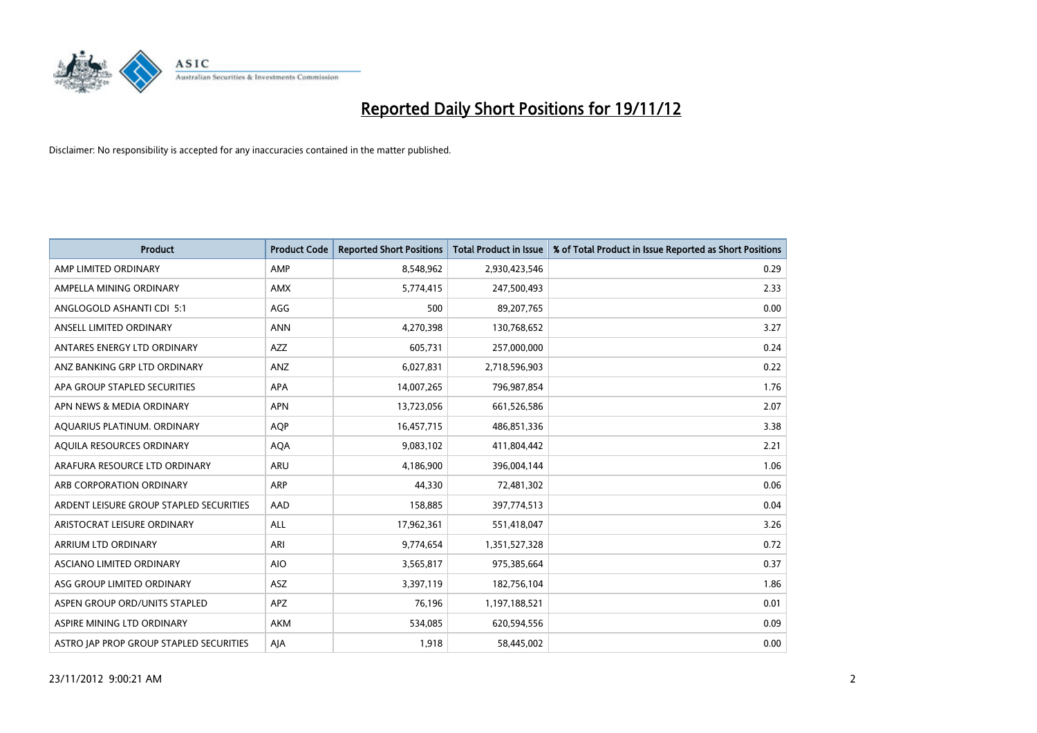

| <b>Product</b>                          | <b>Product Code</b> | <b>Reported Short Positions</b> | <b>Total Product in Issue</b> | % of Total Product in Issue Reported as Short Positions |
|-----------------------------------------|---------------------|---------------------------------|-------------------------------|---------------------------------------------------------|
| AMP LIMITED ORDINARY                    | AMP                 | 8,548,962                       | 2,930,423,546                 | 0.29                                                    |
| AMPELLA MINING ORDINARY                 | <b>AMX</b>          | 5,774,415                       | 247,500,493                   | 2.33                                                    |
| ANGLOGOLD ASHANTI CDI 5:1               | AGG                 | 500                             | 89,207,765                    | 0.00                                                    |
| ANSELL LIMITED ORDINARY                 | <b>ANN</b>          | 4,270,398                       | 130,768,652                   | 3.27                                                    |
| ANTARES ENERGY LTD ORDINARY             | <b>AZZ</b>          | 605,731                         | 257,000,000                   | 0.24                                                    |
| ANZ BANKING GRP LTD ORDINARY            | ANZ                 | 6,027,831                       | 2,718,596,903                 | 0.22                                                    |
| APA GROUP STAPLED SECURITIES            | <b>APA</b>          | 14,007,265                      | 796,987,854                   | 1.76                                                    |
| APN NEWS & MEDIA ORDINARY               | <b>APN</b>          | 13,723,056                      | 661,526,586                   | 2.07                                                    |
| AQUARIUS PLATINUM. ORDINARY             | AQP                 | 16,457,715                      | 486,851,336                   | 3.38                                                    |
| AQUILA RESOURCES ORDINARY               | <b>AQA</b>          | 9,083,102                       | 411,804,442                   | 2.21                                                    |
| ARAFURA RESOURCE LTD ORDINARY           | <b>ARU</b>          | 4,186,900                       | 396,004,144                   | 1.06                                                    |
| ARB CORPORATION ORDINARY                | <b>ARP</b>          | 44,330                          | 72,481,302                    | 0.06                                                    |
| ARDENT LEISURE GROUP STAPLED SECURITIES | AAD                 | 158,885                         | 397,774,513                   | 0.04                                                    |
| ARISTOCRAT LEISURE ORDINARY             | <b>ALL</b>          | 17,962,361                      | 551,418,047                   | 3.26                                                    |
| ARRIUM LTD ORDINARY                     | ARI                 | 9,774,654                       | 1,351,527,328                 | 0.72                                                    |
| ASCIANO LIMITED ORDINARY                | <b>AIO</b>          | 3,565,817                       | 975,385,664                   | 0.37                                                    |
| ASG GROUP LIMITED ORDINARY              | ASZ                 | 3,397,119                       | 182,756,104                   | 1.86                                                    |
| ASPEN GROUP ORD/UNITS STAPLED           | <b>APZ</b>          | 76,196                          | 1,197,188,521                 | 0.01                                                    |
| ASPIRE MINING LTD ORDINARY              | <b>AKM</b>          | 534,085                         | 620,594,556                   | 0.09                                                    |
| ASTRO JAP PROP GROUP STAPLED SECURITIES | AJA                 | 1,918                           | 58,445,002                    | 0.00                                                    |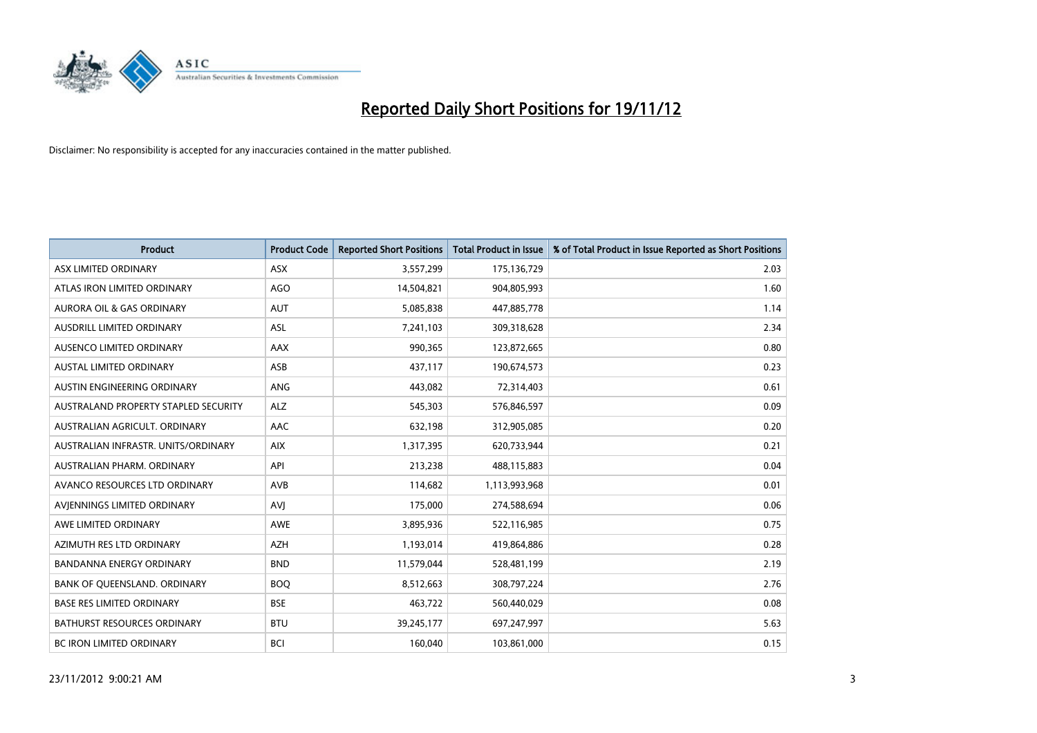

| <b>Product</b>                       | <b>Product Code</b> | <b>Reported Short Positions</b> | <b>Total Product in Issue</b> | % of Total Product in Issue Reported as Short Positions |
|--------------------------------------|---------------------|---------------------------------|-------------------------------|---------------------------------------------------------|
| ASX LIMITED ORDINARY                 | <b>ASX</b>          | 3,557,299                       | 175,136,729                   | 2.03                                                    |
| ATLAS IRON LIMITED ORDINARY          | <b>AGO</b>          | 14,504,821                      | 904,805,993                   | 1.60                                                    |
| <b>AURORA OIL &amp; GAS ORDINARY</b> | <b>AUT</b>          | 5,085,838                       | 447,885,778                   | 1.14                                                    |
| AUSDRILL LIMITED ORDINARY            | ASL                 | 7,241,103                       | 309,318,628                   | 2.34                                                    |
| AUSENCO LIMITED ORDINARY             | AAX                 | 990,365                         | 123,872,665                   | 0.80                                                    |
| <b>AUSTAL LIMITED ORDINARY</b>       | ASB                 | 437,117                         | 190,674,573                   | 0.23                                                    |
| AUSTIN ENGINEERING ORDINARY          | <b>ANG</b>          | 443,082                         | 72,314,403                    | 0.61                                                    |
| AUSTRALAND PROPERTY STAPLED SECURITY | <b>ALZ</b>          | 545,303                         | 576,846,597                   | 0.09                                                    |
| AUSTRALIAN AGRICULT, ORDINARY        | <b>AAC</b>          | 632,198                         | 312,905,085                   | 0.20                                                    |
| AUSTRALIAN INFRASTR, UNITS/ORDINARY  | <b>AIX</b>          | 1,317,395                       | 620,733,944                   | 0.21                                                    |
| AUSTRALIAN PHARM. ORDINARY           | API                 | 213,238                         | 488,115,883                   | 0.04                                                    |
| AVANCO RESOURCES LTD ORDINARY        | AVB                 | 114,682                         | 1,113,993,968                 | 0.01                                                    |
| AVIENNINGS LIMITED ORDINARY          | AVI                 | 175,000                         | 274,588,694                   | 0.06                                                    |
| AWE LIMITED ORDINARY                 | <b>AWE</b>          | 3,895,936                       | 522,116,985                   | 0.75                                                    |
| AZIMUTH RES LTD ORDINARY             | <b>AZH</b>          | 1,193,014                       | 419,864,886                   | 0.28                                                    |
| BANDANNA ENERGY ORDINARY             | <b>BND</b>          | 11,579,044                      | 528,481,199                   | 2.19                                                    |
| BANK OF QUEENSLAND. ORDINARY         | <b>BOQ</b>          | 8,512,663                       | 308,797,224                   | 2.76                                                    |
| <b>BASE RES LIMITED ORDINARY</b>     | <b>BSE</b>          | 463,722                         | 560,440,029                   | 0.08                                                    |
| <b>BATHURST RESOURCES ORDINARY</b>   | <b>BTU</b>          | 39,245,177                      | 697,247,997                   | 5.63                                                    |
| BC IRON LIMITED ORDINARY             | <b>BCI</b>          | 160,040                         | 103,861,000                   | 0.15                                                    |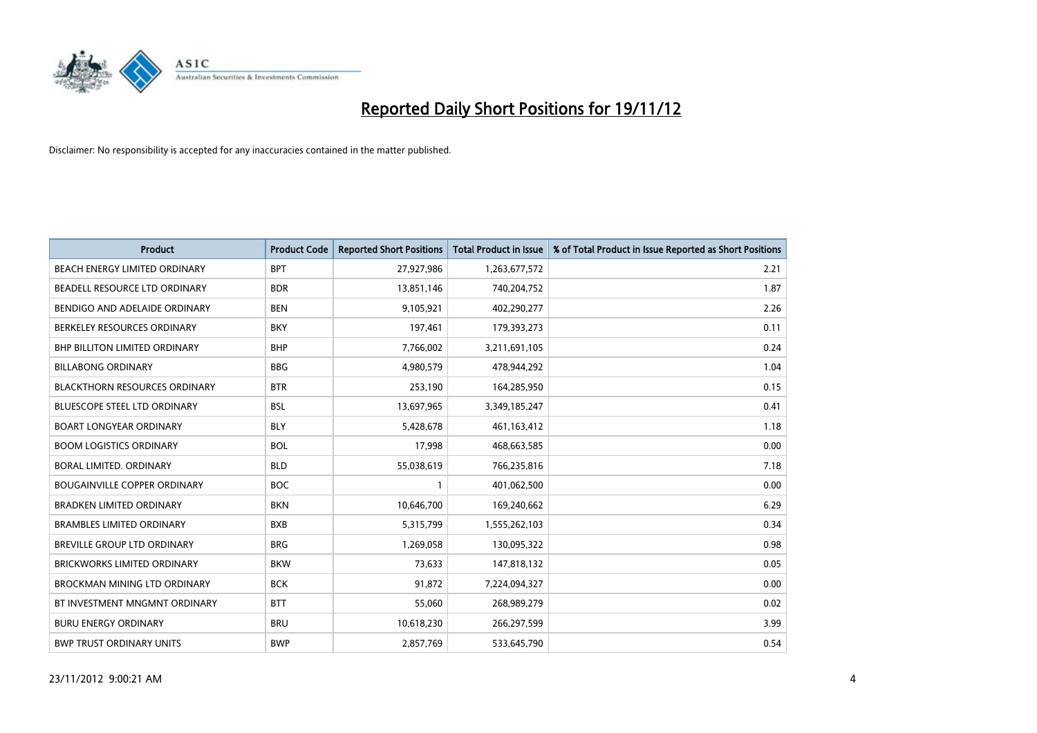

| <b>Product</b>                       | <b>Product Code</b> | <b>Reported Short Positions</b> | <b>Total Product in Issue</b> | % of Total Product in Issue Reported as Short Positions |
|--------------------------------------|---------------------|---------------------------------|-------------------------------|---------------------------------------------------------|
| <b>BEACH ENERGY LIMITED ORDINARY</b> | <b>BPT</b>          | 27,927,986                      | 1,263,677,572                 | 2.21                                                    |
| BEADELL RESOURCE LTD ORDINARY        | <b>BDR</b>          | 13,851,146                      | 740,204,752                   | 1.87                                                    |
| BENDIGO AND ADELAIDE ORDINARY        | <b>BEN</b>          | 9,105,921                       | 402,290,277                   | 2.26                                                    |
| BERKELEY RESOURCES ORDINARY          | <b>BKY</b>          | 197,461                         | 179,393,273                   | 0.11                                                    |
| <b>BHP BILLITON LIMITED ORDINARY</b> | <b>BHP</b>          | 7,766,002                       | 3,211,691,105                 | 0.24                                                    |
| <b>BILLABONG ORDINARY</b>            | <b>BBG</b>          | 4,980,579                       | 478,944,292                   | 1.04                                                    |
| <b>BLACKTHORN RESOURCES ORDINARY</b> | <b>BTR</b>          | 253,190                         | 164,285,950                   | 0.15                                                    |
| <b>BLUESCOPE STEEL LTD ORDINARY</b>  | <b>BSL</b>          | 13,697,965                      | 3,349,185,247                 | 0.41                                                    |
| <b>BOART LONGYEAR ORDINARY</b>       | <b>BLY</b>          | 5,428,678                       | 461,163,412                   | 1.18                                                    |
| <b>BOOM LOGISTICS ORDINARY</b>       | <b>BOL</b>          | 17,998                          | 468,663,585                   | 0.00                                                    |
| BORAL LIMITED. ORDINARY              | <b>BLD</b>          | 55,038,619                      | 766,235,816                   | 7.18                                                    |
| <b>BOUGAINVILLE COPPER ORDINARY</b>  | <b>BOC</b>          |                                 | 401,062,500                   | 0.00                                                    |
| <b>BRADKEN LIMITED ORDINARY</b>      | <b>BKN</b>          | 10,646,700                      | 169,240,662                   | 6.29                                                    |
| <b>BRAMBLES LIMITED ORDINARY</b>     | <b>BXB</b>          | 5,315,799                       | 1,555,262,103                 | 0.34                                                    |
| <b>BREVILLE GROUP LTD ORDINARY</b>   | <b>BRG</b>          | 1,269,058                       | 130,095,322                   | 0.98                                                    |
| BRICKWORKS LIMITED ORDINARY          | <b>BKW</b>          | 73,633                          | 147,818,132                   | 0.05                                                    |
| <b>BROCKMAN MINING LTD ORDINARY</b>  | <b>BCK</b>          | 91,872                          | 7,224,094,327                 | 0.00                                                    |
| BT INVESTMENT MNGMNT ORDINARY        | <b>BTT</b>          | 55,060                          | 268,989,279                   | 0.02                                                    |
| <b>BURU ENERGY ORDINARY</b>          | <b>BRU</b>          | 10,618,230                      | 266,297,599                   | 3.99                                                    |
| <b>BWP TRUST ORDINARY UNITS</b>      | <b>BWP</b>          | 2,857,769                       | 533,645,790                   | 0.54                                                    |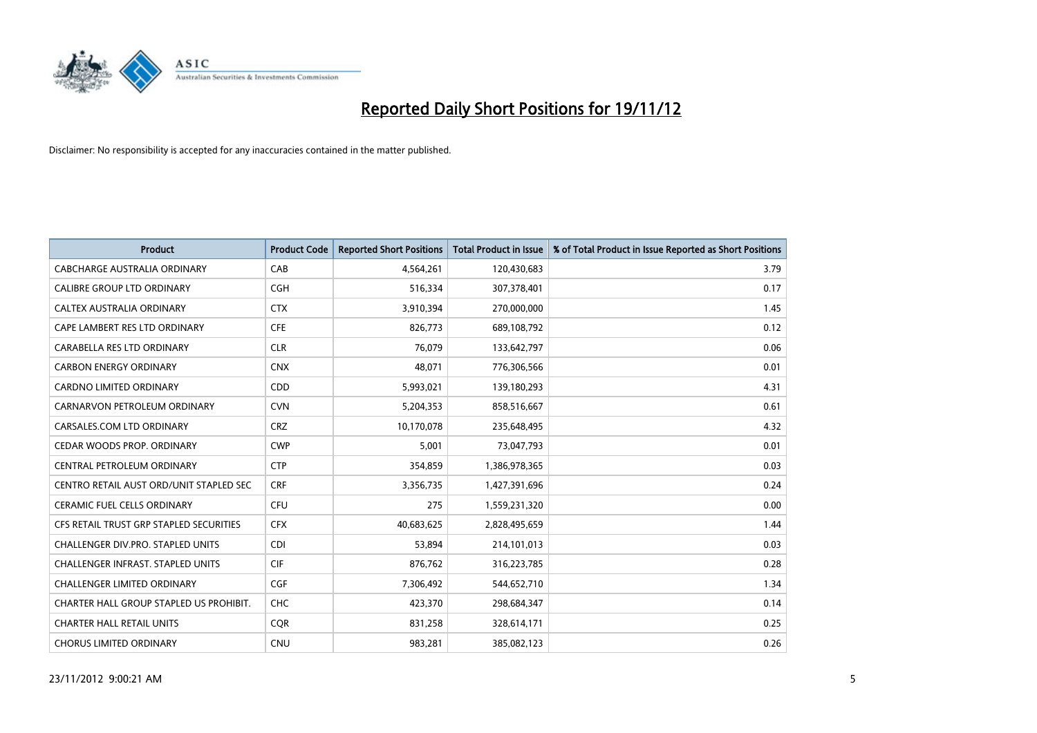

| <b>Product</b>                          | <b>Product Code</b> | <b>Reported Short Positions</b> | <b>Total Product in Issue</b> | % of Total Product in Issue Reported as Short Positions |
|-----------------------------------------|---------------------|---------------------------------|-------------------------------|---------------------------------------------------------|
| <b>CABCHARGE AUSTRALIA ORDINARY</b>     | CAB                 | 4,564,261                       | 120,430,683                   | 3.79                                                    |
| CALIBRE GROUP LTD ORDINARY              | <b>CGH</b>          | 516,334                         | 307,378,401                   | 0.17                                                    |
| <b>CALTEX AUSTRALIA ORDINARY</b>        | <b>CTX</b>          | 3,910,394                       | 270,000,000                   | 1.45                                                    |
| CAPE LAMBERT RES LTD ORDINARY           | <b>CFE</b>          | 826,773                         | 689,108,792                   | 0.12                                                    |
| CARABELLA RES LTD ORDINARY              | <b>CLR</b>          | 76,079                          | 133,642,797                   | 0.06                                                    |
| <b>CARBON ENERGY ORDINARY</b>           | <b>CNX</b>          | 48.071                          | 776,306,566                   | 0.01                                                    |
| <b>CARDNO LIMITED ORDINARY</b>          | CDD                 | 5,993,021                       | 139,180,293                   | 4.31                                                    |
| CARNARVON PETROLEUM ORDINARY            | <b>CVN</b>          | 5,204,353                       | 858,516,667                   | 0.61                                                    |
| CARSALES.COM LTD ORDINARY               | <b>CRZ</b>          | 10,170,078                      | 235,648,495                   | 4.32                                                    |
| CEDAR WOODS PROP. ORDINARY              | <b>CWP</b>          | 5,001                           | 73,047,793                    | 0.01                                                    |
| CENTRAL PETROLEUM ORDINARY              | <b>CTP</b>          | 354,859                         | 1,386,978,365                 | 0.03                                                    |
| CENTRO RETAIL AUST ORD/UNIT STAPLED SEC | <b>CRF</b>          | 3,356,735                       | 1,427,391,696                 | 0.24                                                    |
| CERAMIC FUEL CELLS ORDINARY             | <b>CFU</b>          | 275                             | 1,559,231,320                 | 0.00                                                    |
| CFS RETAIL TRUST GRP STAPLED SECURITIES | <b>CFX</b>          | 40,683,625                      | 2,828,495,659                 | 1.44                                                    |
| CHALLENGER DIV.PRO. STAPLED UNITS       | <b>CDI</b>          | 53,894                          | 214,101,013                   | 0.03                                                    |
| CHALLENGER INFRAST. STAPLED UNITS       | <b>CIF</b>          | 876,762                         | 316,223,785                   | 0.28                                                    |
| CHALLENGER LIMITED ORDINARY             | <b>CGF</b>          | 7,306,492                       | 544,652,710                   | 1.34                                                    |
| CHARTER HALL GROUP STAPLED US PROHIBIT. | <b>CHC</b>          | 423,370                         | 298,684,347                   | 0.14                                                    |
| <b>CHARTER HALL RETAIL UNITS</b>        | <b>COR</b>          | 831,258                         | 328,614,171                   | 0.25                                                    |
| <b>CHORUS LIMITED ORDINARY</b>          | <b>CNU</b>          | 983,281                         | 385,082,123                   | 0.26                                                    |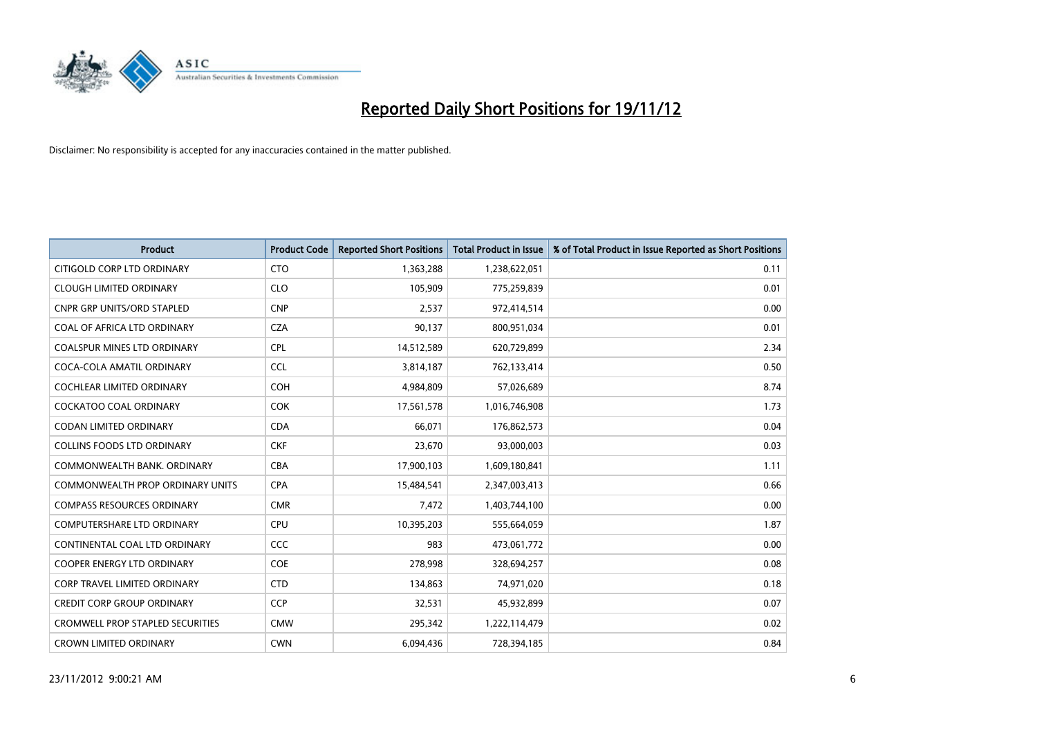

| <b>Product</b>                          | <b>Product Code</b> | <b>Reported Short Positions</b> | <b>Total Product in Issue</b> | % of Total Product in Issue Reported as Short Positions |
|-----------------------------------------|---------------------|---------------------------------|-------------------------------|---------------------------------------------------------|
| CITIGOLD CORP LTD ORDINARY              | <b>CTO</b>          | 1,363,288                       | 1,238,622,051                 | 0.11                                                    |
| <b>CLOUGH LIMITED ORDINARY</b>          | <b>CLO</b>          | 105,909                         | 775,259,839                   | 0.01                                                    |
| <b>CNPR GRP UNITS/ORD STAPLED</b>       | <b>CNP</b>          | 2,537                           | 972,414,514                   | 0.00                                                    |
| COAL OF AFRICA LTD ORDINARY             | <b>CZA</b>          | 90,137                          | 800,951,034                   | 0.01                                                    |
| <b>COALSPUR MINES LTD ORDINARY</b>      | <b>CPL</b>          | 14,512,589                      | 620,729,899                   | 2.34                                                    |
| COCA-COLA AMATIL ORDINARY               | <b>CCL</b>          | 3,814,187                       | 762,133,414                   | 0.50                                                    |
| <b>COCHLEAR LIMITED ORDINARY</b>        | <b>COH</b>          | 4,984,809                       | 57,026,689                    | 8.74                                                    |
| <b>COCKATOO COAL ORDINARY</b>           | <b>COK</b>          | 17,561,578                      | 1,016,746,908                 | 1.73                                                    |
| CODAN LIMITED ORDINARY                  | <b>CDA</b>          | 66,071                          | 176,862,573                   | 0.04                                                    |
| <b>COLLINS FOODS LTD ORDINARY</b>       | <b>CKF</b>          | 23,670                          | 93,000,003                    | 0.03                                                    |
| COMMONWEALTH BANK, ORDINARY             | <b>CBA</b>          | 17,900,103                      | 1,609,180,841                 | 1.11                                                    |
| COMMONWEALTH PROP ORDINARY UNITS        | <b>CPA</b>          | 15,484,541                      | 2,347,003,413                 | 0.66                                                    |
| <b>COMPASS RESOURCES ORDINARY</b>       | <b>CMR</b>          | 7,472                           | 1,403,744,100                 | 0.00                                                    |
| <b>COMPUTERSHARE LTD ORDINARY</b>       | <b>CPU</b>          | 10,395,203                      | 555,664,059                   | 1.87                                                    |
| CONTINENTAL COAL LTD ORDINARY           | CCC                 | 983                             | 473,061,772                   | 0.00                                                    |
| <b>COOPER ENERGY LTD ORDINARY</b>       | <b>COE</b>          | 278,998                         | 328,694,257                   | 0.08                                                    |
| <b>CORP TRAVEL LIMITED ORDINARY</b>     | <b>CTD</b>          | 134,863                         | 74,971,020                    | 0.18                                                    |
| CREDIT CORP GROUP ORDINARY              | <b>CCP</b>          | 32,531                          | 45,932,899                    | 0.07                                                    |
| <b>CROMWELL PROP STAPLED SECURITIES</b> | <b>CMW</b>          | 295,342                         | 1,222,114,479                 | 0.02                                                    |
| <b>CROWN LIMITED ORDINARY</b>           | <b>CWN</b>          | 6.094.436                       | 728,394,185                   | 0.84                                                    |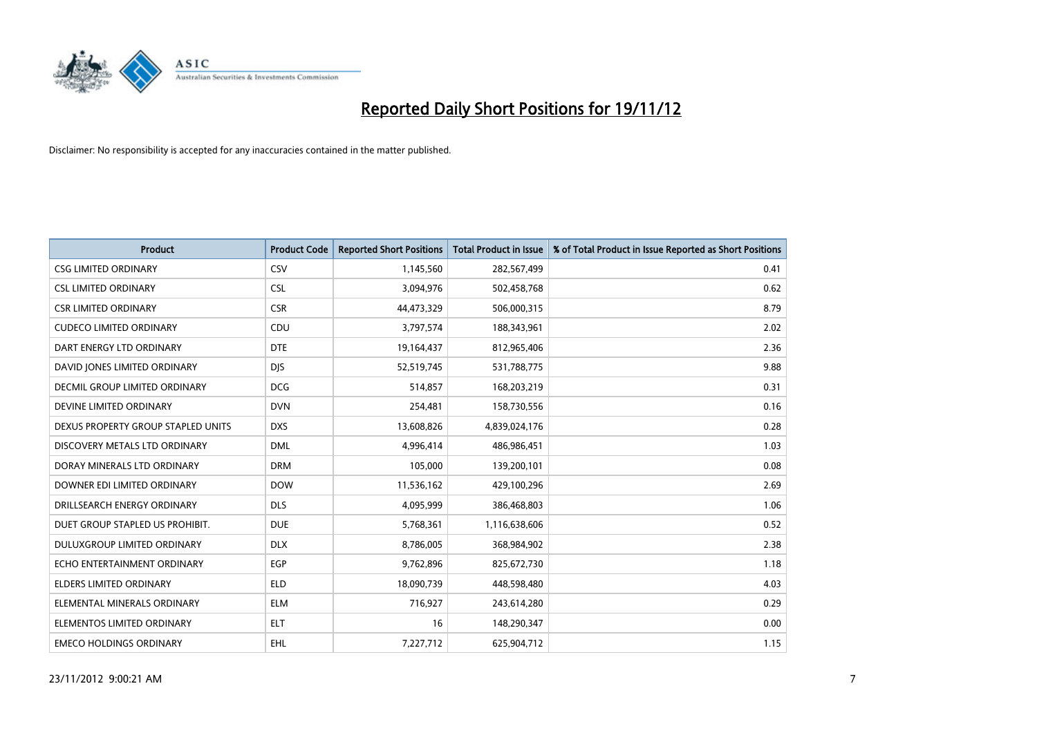

| <b>Product</b>                       | <b>Product Code</b> | <b>Reported Short Positions</b> | <b>Total Product in Issue</b> | % of Total Product in Issue Reported as Short Positions |
|--------------------------------------|---------------------|---------------------------------|-------------------------------|---------------------------------------------------------|
| <b>CSG LIMITED ORDINARY</b>          | CSV                 | 1,145,560                       | 282,567,499                   | 0.41                                                    |
| <b>CSL LIMITED ORDINARY</b>          | <b>CSL</b>          | 3,094,976                       | 502,458,768                   | 0.62                                                    |
| <b>CSR LIMITED ORDINARY</b>          | <b>CSR</b>          | 44,473,329                      | 506,000,315                   | 8.79                                                    |
| <b>CUDECO LIMITED ORDINARY</b>       | CDU                 | 3,797,574                       | 188,343,961                   | 2.02                                                    |
| DART ENERGY LTD ORDINARY             | <b>DTE</b>          | 19,164,437                      | 812,965,406                   | 2.36                                                    |
| DAVID JONES LIMITED ORDINARY         | <b>DJS</b>          | 52,519,745                      | 531,788,775                   | 9.88                                                    |
| <b>DECMIL GROUP LIMITED ORDINARY</b> | <b>DCG</b>          | 514,857                         | 168,203,219                   | 0.31                                                    |
| DEVINE LIMITED ORDINARY              | <b>DVN</b>          | 254,481                         | 158,730,556                   | 0.16                                                    |
| DEXUS PROPERTY GROUP STAPLED UNITS   | <b>DXS</b>          | 13,608,826                      | 4,839,024,176                 | 0.28                                                    |
| DISCOVERY METALS LTD ORDINARY        | <b>DML</b>          | 4,996,414                       | 486,986,451                   | 1.03                                                    |
| DORAY MINERALS LTD ORDINARY          | <b>DRM</b>          | 105,000                         | 139,200,101                   | 0.08                                                    |
| DOWNER EDI LIMITED ORDINARY          | <b>DOW</b>          | 11,536,162                      | 429,100,296                   | 2.69                                                    |
| DRILLSEARCH ENERGY ORDINARY          | <b>DLS</b>          | 4,095,999                       | 386,468,803                   | 1.06                                                    |
| DUET GROUP STAPLED US PROHIBIT.      | <b>DUE</b>          | 5,768,361                       | 1,116,638,606                 | 0.52                                                    |
| DULUXGROUP LIMITED ORDINARY          | <b>DLX</b>          | 8,786,005                       | 368,984,902                   | 2.38                                                    |
| ECHO ENTERTAINMENT ORDINARY          | <b>EGP</b>          | 9,762,896                       | 825,672,730                   | 1.18                                                    |
| ELDERS LIMITED ORDINARY              | <b>ELD</b>          | 18,090,739                      | 448,598,480                   | 4.03                                                    |
| ELEMENTAL MINERALS ORDINARY          | <b>ELM</b>          | 716,927                         | 243,614,280                   | 0.29                                                    |
| ELEMENTOS LIMITED ORDINARY           | <b>ELT</b>          | 16                              | 148,290,347                   | 0.00                                                    |
| <b>EMECO HOLDINGS ORDINARY</b>       | <b>EHL</b>          | 7,227,712                       | 625,904,712                   | 1.15                                                    |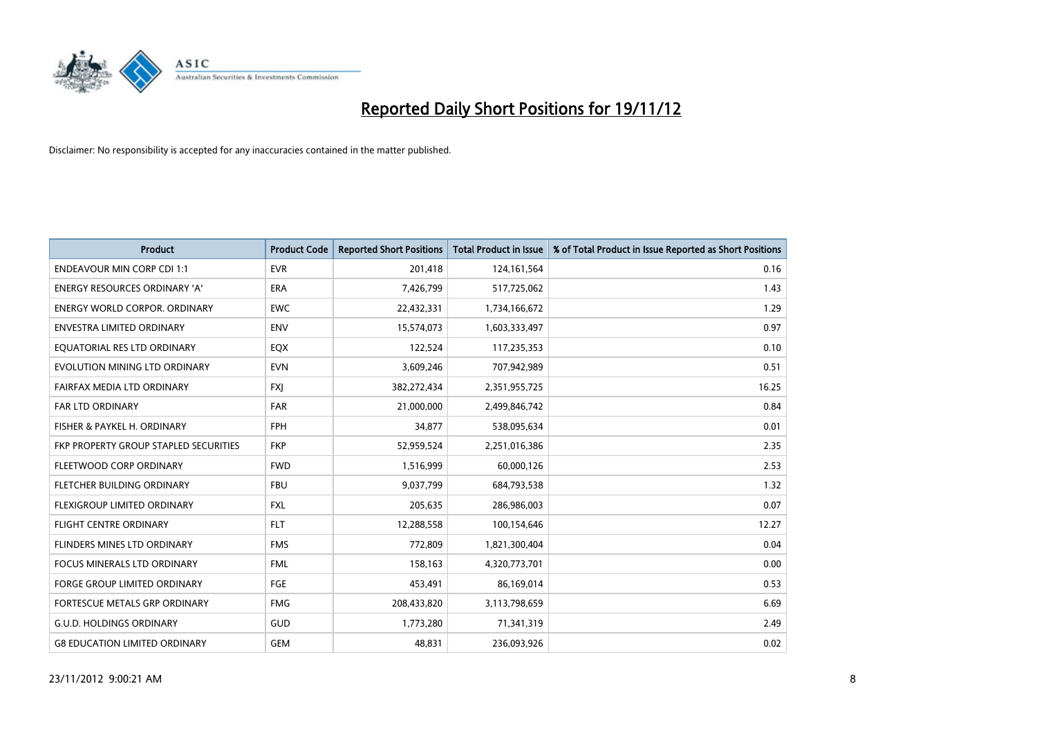

| <b>Product</b>                        | <b>Product Code</b> | <b>Reported Short Positions</b> | <b>Total Product in Issue</b> | % of Total Product in Issue Reported as Short Positions |
|---------------------------------------|---------------------|---------------------------------|-------------------------------|---------------------------------------------------------|
| <b>ENDEAVOUR MIN CORP CDI 1:1</b>     | <b>EVR</b>          | 201,418                         | 124,161,564                   | 0.16                                                    |
| ENERGY RESOURCES ORDINARY 'A'         | <b>ERA</b>          | 7,426,799                       | 517,725,062                   | 1.43                                                    |
| <b>ENERGY WORLD CORPOR, ORDINARY</b>  | <b>EWC</b>          | 22,432,331                      | 1,734,166,672                 | 1.29                                                    |
| ENVESTRA LIMITED ORDINARY             | <b>ENV</b>          | 15,574,073                      | 1,603,333,497                 | 0.97                                                    |
| EQUATORIAL RES LTD ORDINARY           | EQX                 | 122,524                         | 117,235,353                   | 0.10                                                    |
| EVOLUTION MINING LTD ORDINARY         | <b>EVN</b>          | 3,609,246                       | 707,942,989                   | 0.51                                                    |
| FAIRFAX MEDIA LTD ORDINARY            | <b>FXI</b>          | 382,272,434                     | 2,351,955,725                 | 16.25                                                   |
| FAR LTD ORDINARY                      | <b>FAR</b>          | 21,000,000                      | 2,499,846,742                 | 0.84                                                    |
| FISHER & PAYKEL H. ORDINARY           | <b>FPH</b>          | 34,877                          | 538,095,634                   | 0.01                                                    |
| FKP PROPERTY GROUP STAPLED SECURITIES | <b>FKP</b>          | 52,959,524                      | 2,251,016,386                 | 2.35                                                    |
| FLEETWOOD CORP ORDINARY               | <b>FWD</b>          | 1,516,999                       | 60,000,126                    | 2.53                                                    |
| FLETCHER BUILDING ORDINARY            | <b>FBU</b>          | 9,037,799                       | 684,793,538                   | 1.32                                                    |
| FLEXIGROUP LIMITED ORDINARY           | <b>FXL</b>          | 205,635                         | 286,986,003                   | 0.07                                                    |
| <b>FLIGHT CENTRE ORDINARY</b>         | <b>FLT</b>          | 12,288,558                      | 100,154,646                   | 12.27                                                   |
| FLINDERS MINES LTD ORDINARY           | <b>FMS</b>          | 772,809                         | 1,821,300,404                 | 0.04                                                    |
| FOCUS MINERALS LTD ORDINARY           | <b>FML</b>          | 158,163                         | 4,320,773,701                 | 0.00                                                    |
| FORGE GROUP LIMITED ORDINARY          | FGE                 | 453,491                         | 86,169,014                    | 0.53                                                    |
| FORTESCUE METALS GRP ORDINARY         | <b>FMG</b>          | 208,433,820                     | 3,113,798,659                 | 6.69                                                    |
| <b>G.U.D. HOLDINGS ORDINARY</b>       | GUD                 | 1,773,280                       | 71,341,319                    | 2.49                                                    |
| <b>G8 EDUCATION LIMITED ORDINARY</b>  | <b>GEM</b>          | 48,831                          | 236,093,926                   | 0.02                                                    |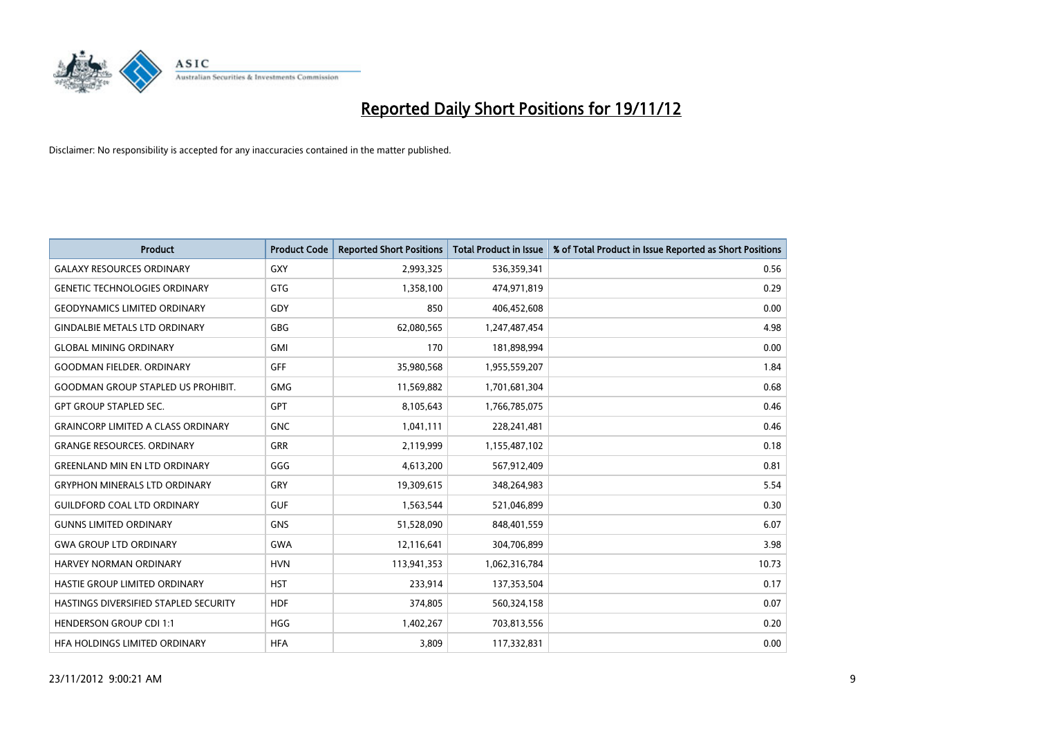

| <b>Product</b>                               | <b>Product Code</b> | <b>Reported Short Positions</b> | <b>Total Product in Issue</b> | % of Total Product in Issue Reported as Short Positions |
|----------------------------------------------|---------------------|---------------------------------|-------------------------------|---------------------------------------------------------|
| <b>GALAXY RESOURCES ORDINARY</b>             | <b>GXY</b>          | 2,993,325                       | 536,359,341                   | 0.56                                                    |
| <b>GENETIC TECHNOLOGIES ORDINARY</b>         | <b>GTG</b>          | 1,358,100                       | 474,971,819                   | 0.29                                                    |
| <b>GEODYNAMICS LIMITED ORDINARY</b>          | GDY                 | 850                             | 406,452,608                   | 0.00                                                    |
| <b>GINDALBIE METALS LTD ORDINARY</b>         | <b>GBG</b>          | 62,080,565                      | 1,247,487,454                 | 4.98                                                    |
| <b>GLOBAL MINING ORDINARY</b>                | <b>GMI</b>          | 170                             | 181,898,994                   | 0.00                                                    |
| <b>GOODMAN FIELDER, ORDINARY</b>             | <b>GFF</b>          | 35,980,568                      | 1,955,559,207                 | 1.84                                                    |
| <b>GOODMAN GROUP STAPLED US PROHIBIT.</b>    | <b>GMG</b>          | 11,569,882                      | 1,701,681,304                 | 0.68                                                    |
| <b>GPT GROUP STAPLED SEC.</b>                | <b>GPT</b>          | 8,105,643                       | 1,766,785,075                 | 0.46                                                    |
| <b>GRAINCORP LIMITED A CLASS ORDINARY</b>    | <b>GNC</b>          | 1,041,111                       | 228,241,481                   | 0.46                                                    |
| <b>GRANGE RESOURCES, ORDINARY</b>            | <b>GRR</b>          | 2,119,999                       | 1,155,487,102                 | 0.18                                                    |
| <b>GREENLAND MIN EN LTD ORDINARY</b>         | GGG                 | 4,613,200                       | 567,912,409                   | 0.81                                                    |
| <b>GRYPHON MINERALS LTD ORDINARY</b>         | GRY                 | 19,309,615                      | 348,264,983                   | 5.54                                                    |
| <b>GUILDFORD COAL LTD ORDINARY</b>           | <b>GUF</b>          | 1,563,544                       | 521,046,899                   | 0.30                                                    |
| <b>GUNNS LIMITED ORDINARY</b>                | <b>GNS</b>          | 51,528,090                      | 848,401,559                   | 6.07                                                    |
| <b>GWA GROUP LTD ORDINARY</b>                | <b>GWA</b>          | 12,116,641                      | 304,706,899                   | 3.98                                                    |
| HARVEY NORMAN ORDINARY                       | <b>HVN</b>          | 113,941,353                     | 1,062,316,784                 | 10.73                                                   |
| HASTIE GROUP LIMITED ORDINARY                | <b>HST</b>          | 233,914                         | 137,353,504                   | 0.17                                                    |
| <b>HASTINGS DIVERSIFIED STAPLED SECURITY</b> | <b>HDF</b>          | 374,805                         | 560,324,158                   | 0.07                                                    |
| <b>HENDERSON GROUP CDI 1:1</b>               | <b>HGG</b>          | 1,402,267                       | 703,813,556                   | 0.20                                                    |
| HEA HOLDINGS LIMITED ORDINARY                | <b>HFA</b>          | 3.809                           | 117,332,831                   | 0.00                                                    |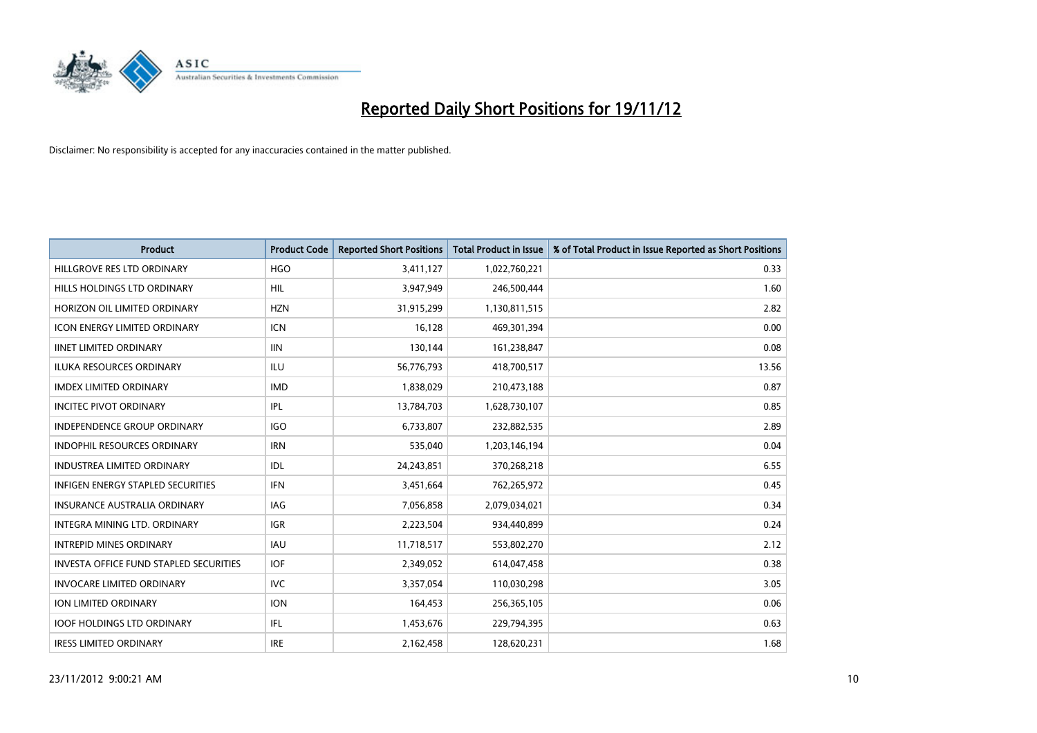

| <b>Product</b>                                | <b>Product Code</b> | <b>Reported Short Positions</b> | <b>Total Product in Issue</b> | % of Total Product in Issue Reported as Short Positions |
|-----------------------------------------------|---------------------|---------------------------------|-------------------------------|---------------------------------------------------------|
| HILLGROVE RES LTD ORDINARY                    | <b>HGO</b>          | 3,411,127                       | 1,022,760,221                 | 0.33                                                    |
| HILLS HOLDINGS LTD ORDINARY                   | <b>HIL</b>          | 3,947,949                       | 246,500,444                   | 1.60                                                    |
| HORIZON OIL LIMITED ORDINARY                  | <b>HZN</b>          | 31,915,299                      | 1,130,811,515                 | 2.82                                                    |
| ICON ENERGY LIMITED ORDINARY                  | <b>ICN</b>          | 16,128                          | 469,301,394                   | 0.00                                                    |
| <b>IINET LIMITED ORDINARY</b>                 | <b>IIN</b>          | 130,144                         | 161,238,847                   | 0.08                                                    |
| <b>ILUKA RESOURCES ORDINARY</b>               | ILU                 | 56,776,793                      | 418,700,517                   | 13.56                                                   |
| <b>IMDEX LIMITED ORDINARY</b>                 | <b>IMD</b>          | 1,838,029                       | 210,473,188                   | 0.87                                                    |
| <b>INCITEC PIVOT ORDINARY</b>                 | IPL                 | 13,784,703                      | 1,628,730,107                 | 0.85                                                    |
| INDEPENDENCE GROUP ORDINARY                   | <b>IGO</b>          | 6,733,807                       | 232,882,535                   | 2.89                                                    |
| <b>INDOPHIL RESOURCES ORDINARY</b>            | <b>IRN</b>          | 535,040                         | 1,203,146,194                 | 0.04                                                    |
| <b>INDUSTREA LIMITED ORDINARY</b>             | IDL.                | 24,243,851                      | 370,268,218                   | 6.55                                                    |
| <b>INFIGEN ENERGY STAPLED SECURITIES</b>      | <b>IFN</b>          | 3,451,664                       | 762,265,972                   | 0.45                                                    |
| <b>INSURANCE AUSTRALIA ORDINARY</b>           | <b>IAG</b>          | 7,056,858                       | 2,079,034,021                 | 0.34                                                    |
| <b>INTEGRA MINING LTD, ORDINARY</b>           | <b>IGR</b>          | 2,223,504                       | 934,440,899                   | 0.24                                                    |
| <b>INTREPID MINES ORDINARY</b>                | <b>IAU</b>          | 11,718,517                      | 553,802,270                   | 2.12                                                    |
| <b>INVESTA OFFICE FUND STAPLED SECURITIES</b> | <b>IOF</b>          | 2,349,052                       | 614,047,458                   | 0.38                                                    |
| <b>INVOCARE LIMITED ORDINARY</b>              | <b>IVC</b>          | 3,357,054                       | 110,030,298                   | 3.05                                                    |
| ION LIMITED ORDINARY                          | <b>ION</b>          | 164,453                         | 256,365,105                   | 0.06                                                    |
| <b>IOOF HOLDINGS LTD ORDINARY</b>             | <b>IFL</b>          | 1,453,676                       | 229,794,395                   | 0.63                                                    |
| <b>IRESS LIMITED ORDINARY</b>                 | <b>IRE</b>          | 2,162,458                       | 128.620.231                   | 1.68                                                    |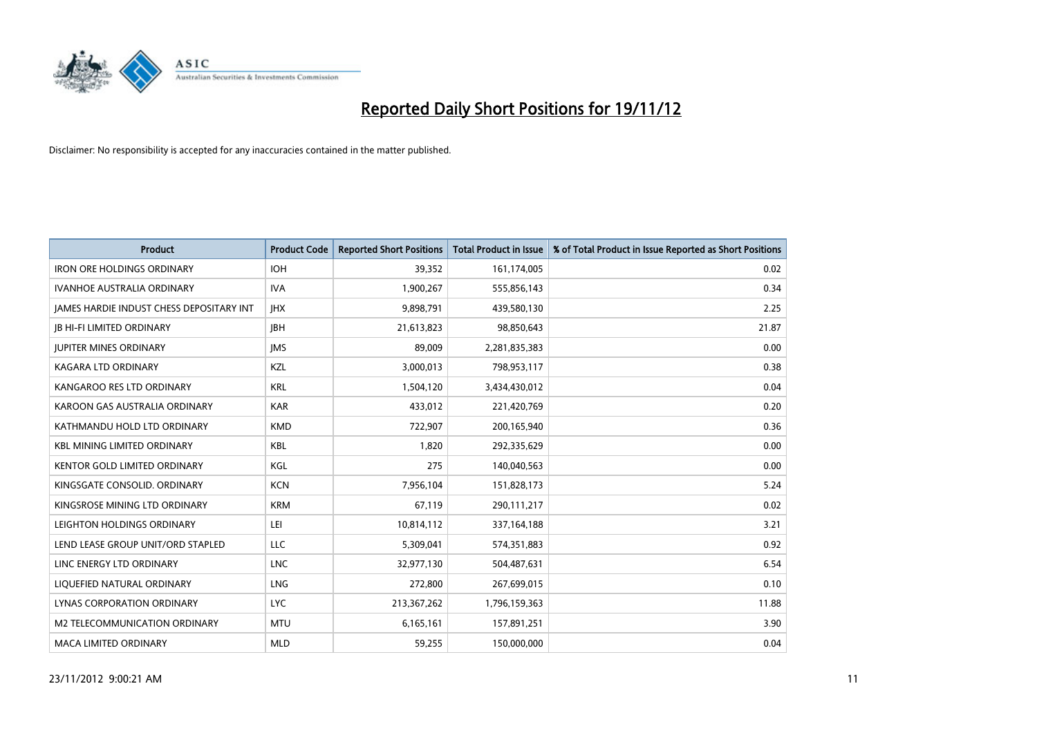

| <b>Product</b>                           | <b>Product Code</b> | <b>Reported Short Positions</b> | <b>Total Product in Issue</b> | % of Total Product in Issue Reported as Short Positions |
|------------------------------------------|---------------------|---------------------------------|-------------------------------|---------------------------------------------------------|
| <b>IRON ORE HOLDINGS ORDINARY</b>        | <b>IOH</b>          | 39,352                          | 161,174,005                   | 0.02                                                    |
| IVANHOE AUSTRALIA ORDINARY               | <b>IVA</b>          | 1,900,267                       | 555,856,143                   | 0.34                                                    |
| JAMES HARDIE INDUST CHESS DEPOSITARY INT | <b>IHX</b>          | 9,898,791                       | 439,580,130                   | 2.25                                                    |
| <b>JB HI-FI LIMITED ORDINARY</b>         | <b>IBH</b>          | 21,613,823                      | 98,850,643                    | 21.87                                                   |
| <b>JUPITER MINES ORDINARY</b>            | <b>IMS</b>          | 89,009                          | 2,281,835,383                 | 0.00                                                    |
| <b>KAGARA LTD ORDINARY</b>               | <b>KZL</b>          | 3,000,013                       | 798,953,117                   | 0.38                                                    |
| KANGAROO RES LTD ORDINARY                | <b>KRL</b>          | 1,504,120                       | 3,434,430,012                 | 0.04                                                    |
| KAROON GAS AUSTRALIA ORDINARY            | <b>KAR</b>          | 433,012                         | 221,420,769                   | 0.20                                                    |
| KATHMANDU HOLD LTD ORDINARY              | <b>KMD</b>          | 722,907                         | 200,165,940                   | 0.36                                                    |
| <b>KBL MINING LIMITED ORDINARY</b>       | <b>KBL</b>          | 1,820                           | 292,335,629                   | 0.00                                                    |
| KENTOR GOLD LIMITED ORDINARY             | KGL                 | 275                             | 140,040,563                   | 0.00                                                    |
| KINGSGATE CONSOLID, ORDINARY             | <b>KCN</b>          | 7,956,104                       | 151,828,173                   | 5.24                                                    |
| KINGSROSE MINING LTD ORDINARY            | <b>KRM</b>          | 67,119                          | 290,111,217                   | 0.02                                                    |
| LEIGHTON HOLDINGS ORDINARY               | LEI                 | 10,814,112                      | 337, 164, 188                 | 3.21                                                    |
| LEND LEASE GROUP UNIT/ORD STAPLED        | <b>LLC</b>          | 5,309,041                       | 574,351,883                   | 0.92                                                    |
| LINC ENERGY LTD ORDINARY                 | <b>LNC</b>          | 32,977,130                      | 504,487,631                   | 6.54                                                    |
| LIQUEFIED NATURAL ORDINARY               | LNG                 | 272,800                         | 267,699,015                   | 0.10                                                    |
| LYNAS CORPORATION ORDINARY               | <b>LYC</b>          | 213,367,262                     | 1,796,159,363                 | 11.88                                                   |
| <b>M2 TELECOMMUNICATION ORDINARY</b>     | <b>MTU</b>          | 6,165,161                       | 157,891,251                   | 3.90                                                    |
| MACA LIMITED ORDINARY                    | <b>MLD</b>          | 59,255                          | 150,000,000                   | 0.04                                                    |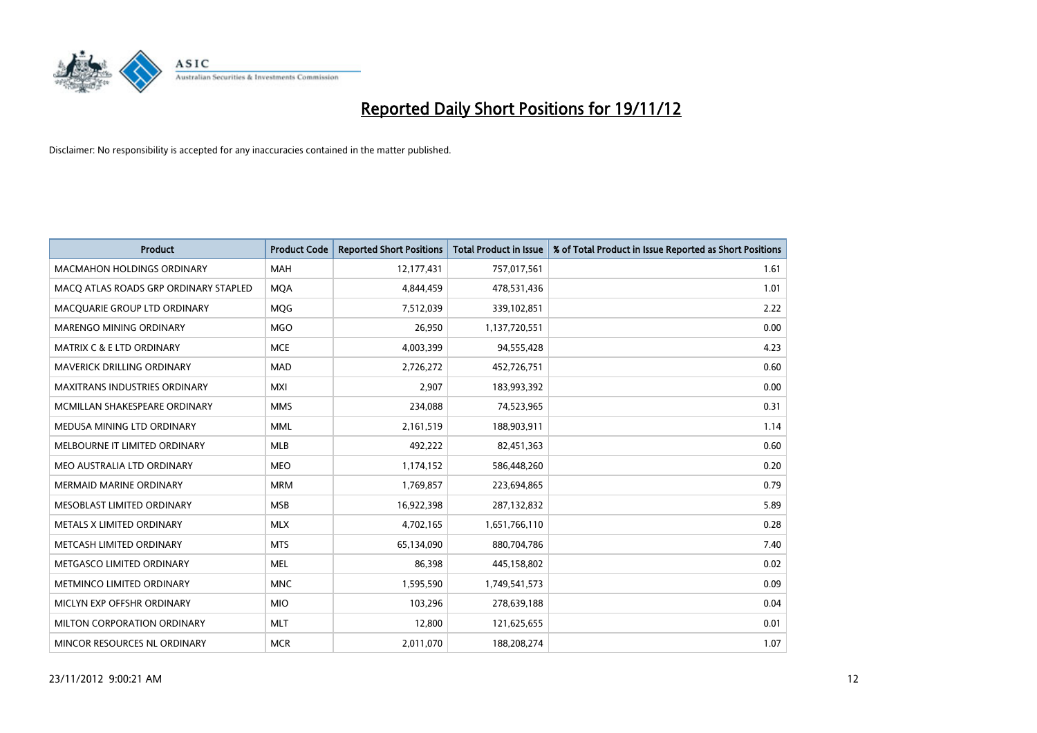

| <b>Product</b>                        | <b>Product Code</b> | <b>Reported Short Positions</b> | <b>Total Product in Issue</b> | % of Total Product in Issue Reported as Short Positions |
|---------------------------------------|---------------------|---------------------------------|-------------------------------|---------------------------------------------------------|
| <b>MACMAHON HOLDINGS ORDINARY</b>     | <b>MAH</b>          | 12,177,431                      | 757,017,561                   | 1.61                                                    |
| MACO ATLAS ROADS GRP ORDINARY STAPLED | <b>MQA</b>          | 4,844,459                       | 478,531,436                   | 1.01                                                    |
| MACOUARIE GROUP LTD ORDINARY          | <b>MOG</b>          | 7,512,039                       | 339,102,851                   | 2.22                                                    |
| MARENGO MINING ORDINARY               | <b>MGO</b>          | 26,950                          | 1,137,720,551                 | 0.00                                                    |
| <b>MATRIX C &amp; E LTD ORDINARY</b>  | <b>MCE</b>          | 4,003,399                       | 94,555,428                    | 4.23                                                    |
| MAVERICK DRILLING ORDINARY            | <b>MAD</b>          | 2,726,272                       | 452,726,751                   | 0.60                                                    |
| <b>MAXITRANS INDUSTRIES ORDINARY</b>  | <b>MXI</b>          | 2,907                           | 183,993,392                   | 0.00                                                    |
| MCMILLAN SHAKESPEARE ORDINARY         | <b>MMS</b>          | 234,088                         | 74,523,965                    | 0.31                                                    |
| MEDUSA MINING LTD ORDINARY            | <b>MML</b>          | 2,161,519                       | 188,903,911                   | 1.14                                                    |
| MELBOURNE IT LIMITED ORDINARY         | <b>MLB</b>          | 492,222                         | 82,451,363                    | 0.60                                                    |
| MEO AUSTRALIA LTD ORDINARY            | <b>MEO</b>          | 1,174,152                       | 586,448,260                   | 0.20                                                    |
| <b>MERMAID MARINE ORDINARY</b>        | <b>MRM</b>          | 1,769,857                       | 223,694,865                   | 0.79                                                    |
| MESOBLAST LIMITED ORDINARY            | <b>MSB</b>          | 16,922,398                      | 287,132,832                   | 5.89                                                    |
| METALS X LIMITED ORDINARY             | <b>MLX</b>          | 4,702,165                       | 1,651,766,110                 | 0.28                                                    |
| METCASH LIMITED ORDINARY              | <b>MTS</b>          | 65,134,090                      | 880,704,786                   | 7.40                                                    |
| METGASCO LIMITED ORDINARY             | <b>MEL</b>          | 86,398                          | 445,158,802                   | 0.02                                                    |
| METMINCO LIMITED ORDINARY             | <b>MNC</b>          | 1,595,590                       | 1,749,541,573                 | 0.09                                                    |
| MICLYN EXP OFFSHR ORDINARY            | <b>MIO</b>          | 103,296                         | 278,639,188                   | 0.04                                                    |
| MILTON CORPORATION ORDINARY           | <b>MLT</b>          | 12,800                          | 121,625,655                   | 0.01                                                    |
| MINCOR RESOURCES NL ORDINARY          | <b>MCR</b>          | 2,011,070                       | 188,208,274                   | 1.07                                                    |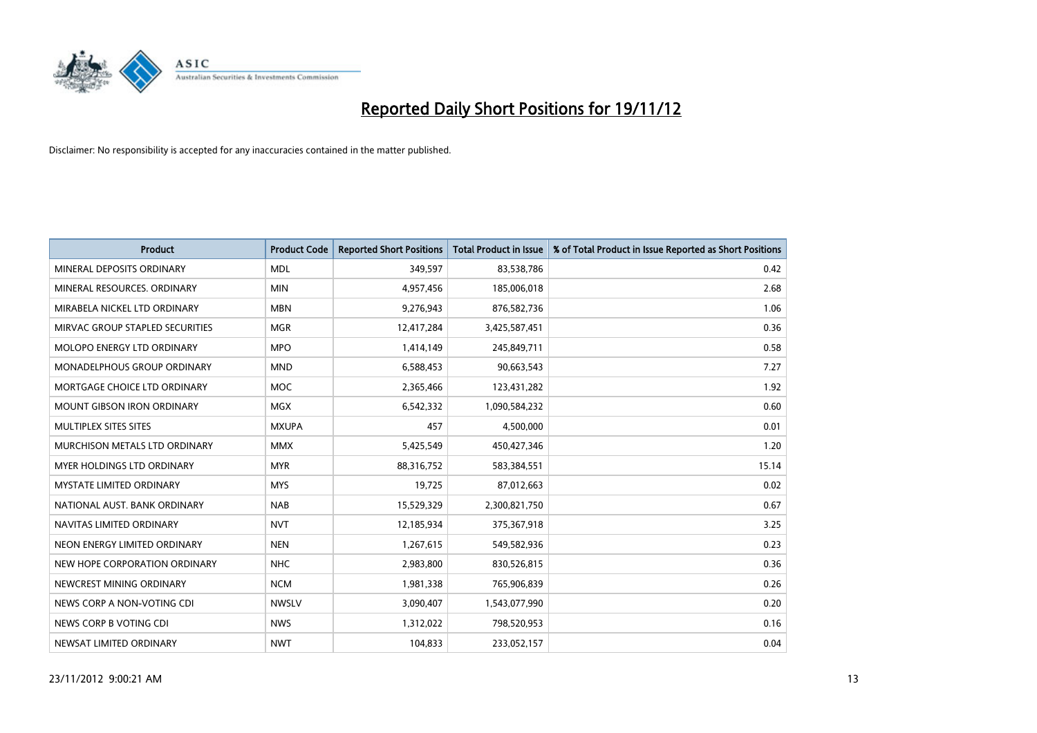

| <b>Product</b>                       | <b>Product Code</b> | <b>Reported Short Positions</b> | <b>Total Product in Issue</b> | % of Total Product in Issue Reported as Short Positions |
|--------------------------------------|---------------------|---------------------------------|-------------------------------|---------------------------------------------------------|
| MINERAL DEPOSITS ORDINARY            | <b>MDL</b>          | 349,597                         | 83,538,786                    | 0.42                                                    |
| MINERAL RESOURCES. ORDINARY          | <b>MIN</b>          | 4,957,456                       | 185,006,018                   | 2.68                                                    |
| MIRABELA NICKEL LTD ORDINARY         | <b>MBN</b>          | 9,276,943                       | 876,582,736                   | 1.06                                                    |
| MIRVAC GROUP STAPLED SECURITIES      | <b>MGR</b>          | 12,417,284                      | 3,425,587,451                 | 0.36                                                    |
| MOLOPO ENERGY LTD ORDINARY           | <b>MPO</b>          | 1,414,149                       | 245,849,711                   | 0.58                                                    |
| <b>MONADELPHOUS GROUP ORDINARY</b>   | <b>MND</b>          | 6,588,453                       | 90,663,543                    | 7.27                                                    |
| MORTGAGE CHOICE LTD ORDINARY         | <b>MOC</b>          | 2,365,466                       | 123,431,282                   | 1.92                                                    |
| <b>MOUNT GIBSON IRON ORDINARY</b>    | <b>MGX</b>          | 6,542,332                       | 1,090,584,232                 | 0.60                                                    |
| MULTIPLEX SITES SITES                | <b>MXUPA</b>        | 457                             | 4,500,000                     | 0.01                                                    |
| <b>MURCHISON METALS LTD ORDINARY</b> | <b>MMX</b>          | 5,425,549                       | 450,427,346                   | 1.20                                                    |
| MYER HOLDINGS LTD ORDINARY           | <b>MYR</b>          | 88,316,752                      | 583,384,551                   | 15.14                                                   |
| <b>MYSTATE LIMITED ORDINARY</b>      | <b>MYS</b>          | 19,725                          | 87,012,663                    | 0.02                                                    |
| NATIONAL AUST. BANK ORDINARY         | <b>NAB</b>          | 15,529,329                      | 2,300,821,750                 | 0.67                                                    |
| NAVITAS LIMITED ORDINARY             | <b>NVT</b>          | 12,185,934                      | 375,367,918                   | 3.25                                                    |
| NEON ENERGY LIMITED ORDINARY         | <b>NEN</b>          | 1,267,615                       | 549,582,936                   | 0.23                                                    |
| NEW HOPE CORPORATION ORDINARY        | <b>NHC</b>          | 2,983,800                       | 830,526,815                   | 0.36                                                    |
| NEWCREST MINING ORDINARY             | <b>NCM</b>          | 1,981,338                       | 765,906,839                   | 0.26                                                    |
| NEWS CORP A NON-VOTING CDI           | <b>NWSLV</b>        | 3,090,407                       | 1,543,077,990                 | 0.20                                                    |
| NEWS CORP B VOTING CDI               | <b>NWS</b>          | 1,312,022                       | 798,520,953                   | 0.16                                                    |
| NEWSAT LIMITED ORDINARY              | <b>NWT</b>          | 104,833                         | 233,052,157                   | 0.04                                                    |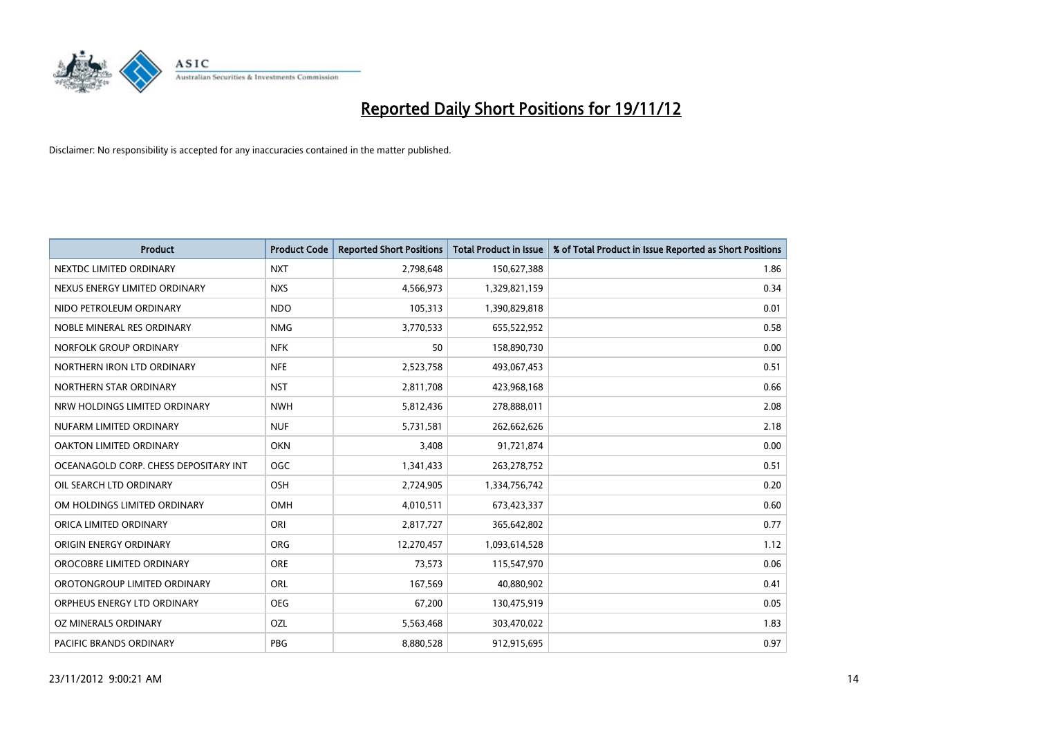

| <b>Product</b>                        | <b>Product Code</b> | <b>Reported Short Positions</b> | <b>Total Product in Issue</b> | % of Total Product in Issue Reported as Short Positions |
|---------------------------------------|---------------------|---------------------------------|-------------------------------|---------------------------------------------------------|
| NEXTDC LIMITED ORDINARY               | <b>NXT</b>          | 2,798,648                       | 150,627,388                   | 1.86                                                    |
| NEXUS ENERGY LIMITED ORDINARY         | <b>NXS</b>          | 4,566,973                       | 1,329,821,159                 | 0.34                                                    |
| NIDO PETROLEUM ORDINARY               | <b>NDO</b>          | 105,313                         | 1,390,829,818                 | 0.01                                                    |
| NOBLE MINERAL RES ORDINARY            | <b>NMG</b>          | 3,770,533                       | 655,522,952                   | 0.58                                                    |
| NORFOLK GROUP ORDINARY                | <b>NFK</b>          | 50                              | 158,890,730                   | 0.00                                                    |
| NORTHERN IRON LTD ORDINARY            | <b>NFE</b>          | 2,523,758                       | 493,067,453                   | 0.51                                                    |
| NORTHERN STAR ORDINARY                | <b>NST</b>          | 2,811,708                       | 423,968,168                   | 0.66                                                    |
| NRW HOLDINGS LIMITED ORDINARY         | <b>NWH</b>          | 5,812,436                       | 278,888,011                   | 2.08                                                    |
| NUFARM LIMITED ORDINARY               | <b>NUF</b>          | 5,731,581                       | 262,662,626                   | 2.18                                                    |
| OAKTON LIMITED ORDINARY               | <b>OKN</b>          | 3,408                           | 91,721,874                    | 0.00                                                    |
| OCEANAGOLD CORP. CHESS DEPOSITARY INT | <b>OGC</b>          | 1,341,433                       | 263,278,752                   | 0.51                                                    |
| OIL SEARCH LTD ORDINARY               | OSH                 | 2,724,905                       | 1,334,756,742                 | 0.20                                                    |
| OM HOLDINGS LIMITED ORDINARY          | <b>OMH</b>          | 4,010,511                       | 673,423,337                   | 0.60                                                    |
| ORICA LIMITED ORDINARY                | ORI                 | 2,817,727                       | 365,642,802                   | 0.77                                                    |
| ORIGIN ENERGY ORDINARY                | <b>ORG</b>          | 12,270,457                      | 1,093,614,528                 | 1.12                                                    |
| OROCOBRE LIMITED ORDINARY             | <b>ORE</b>          | 73,573                          | 115,547,970                   | 0.06                                                    |
| OROTONGROUP LIMITED ORDINARY          | <b>ORL</b>          | 167,569                         | 40,880,902                    | 0.41                                                    |
| ORPHEUS ENERGY LTD ORDINARY           | <b>OEG</b>          | 67,200                          | 130,475,919                   | 0.05                                                    |
| OZ MINERALS ORDINARY                  | OZL                 | 5,563,468                       | 303,470,022                   | 1.83                                                    |
| <b>PACIFIC BRANDS ORDINARY</b>        | PBG                 | 8,880,528                       | 912,915,695                   | 0.97                                                    |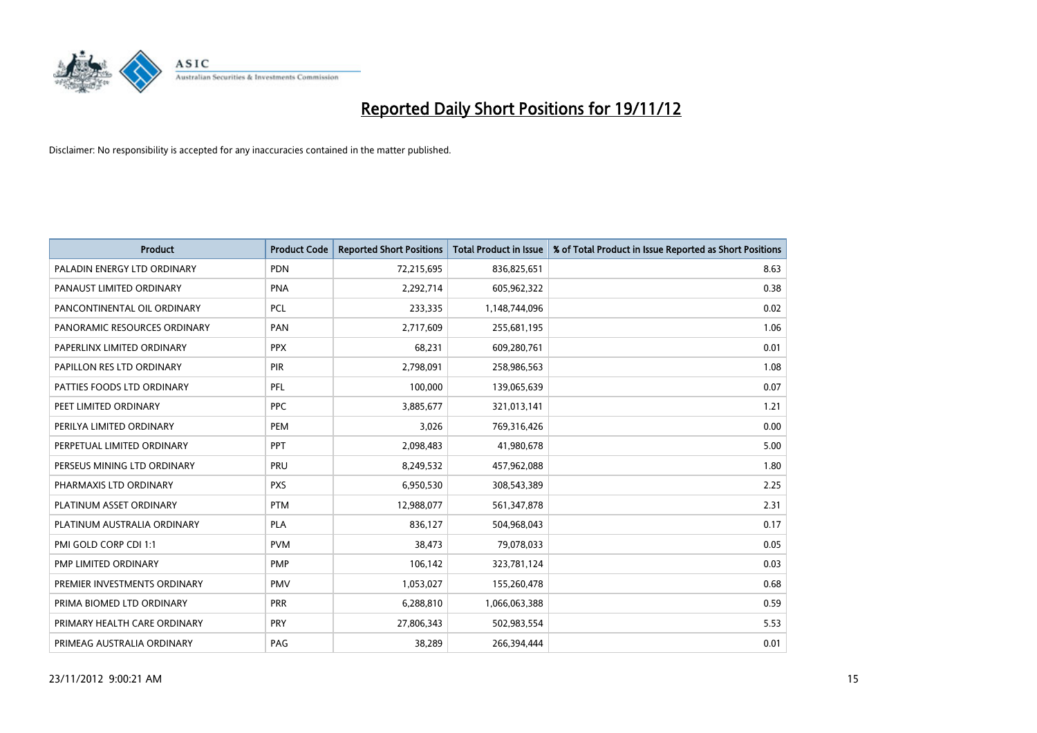

| <b>Product</b>               | <b>Product Code</b> | <b>Reported Short Positions</b> | <b>Total Product in Issue</b> | % of Total Product in Issue Reported as Short Positions |
|------------------------------|---------------------|---------------------------------|-------------------------------|---------------------------------------------------------|
| PALADIN ENERGY LTD ORDINARY  | <b>PDN</b>          | 72,215,695                      | 836,825,651                   | 8.63                                                    |
| PANAUST LIMITED ORDINARY     | PNA                 | 2,292,714                       | 605,962,322                   | 0.38                                                    |
| PANCONTINENTAL OIL ORDINARY  | <b>PCL</b>          | 233,335                         | 1,148,744,096                 | 0.02                                                    |
| PANORAMIC RESOURCES ORDINARY | PAN                 | 2,717,609                       | 255,681,195                   | 1.06                                                    |
| PAPERLINX LIMITED ORDINARY   | <b>PPX</b>          | 68.231                          | 609,280,761                   | 0.01                                                    |
| PAPILLON RES LTD ORDINARY    | <b>PIR</b>          | 2,798,091                       | 258,986,563                   | 1.08                                                    |
| PATTIES FOODS LTD ORDINARY   | PFL                 | 100.000                         | 139,065,639                   | 0.07                                                    |
| PEET LIMITED ORDINARY        | <b>PPC</b>          | 3,885,677                       | 321,013,141                   | 1.21                                                    |
| PERILYA LIMITED ORDINARY     | PEM                 | 3,026                           | 769,316,426                   | 0.00                                                    |
| PERPETUAL LIMITED ORDINARY   | <b>PPT</b>          | 2,098,483                       | 41,980,678                    | 5.00                                                    |
| PERSEUS MINING LTD ORDINARY  | PRU                 | 8,249,532                       | 457,962,088                   | 1.80                                                    |
| PHARMAXIS LTD ORDINARY       | <b>PXS</b>          | 6,950,530                       | 308,543,389                   | 2.25                                                    |
| PLATINUM ASSET ORDINARY      | <b>PTM</b>          | 12,988,077                      | 561,347,878                   | 2.31                                                    |
| PLATINUM AUSTRALIA ORDINARY  | <b>PLA</b>          | 836.127                         | 504,968,043                   | 0.17                                                    |
| PMI GOLD CORP CDI 1:1        | <b>PVM</b>          | 38,473                          | 79,078,033                    | 0.05                                                    |
| PMP LIMITED ORDINARY         | PMP                 | 106,142                         | 323,781,124                   | 0.03                                                    |
| PREMIER INVESTMENTS ORDINARY | <b>PMV</b>          | 1,053,027                       | 155,260,478                   | 0.68                                                    |
| PRIMA BIOMED LTD ORDINARY    | <b>PRR</b>          | 6,288,810                       | 1,066,063,388                 | 0.59                                                    |
| PRIMARY HEALTH CARE ORDINARY | <b>PRY</b>          | 27,806,343                      | 502,983,554                   | 5.53                                                    |
| PRIMEAG AUSTRALIA ORDINARY   | PAG                 | 38.289                          | 266.394.444                   | 0.01                                                    |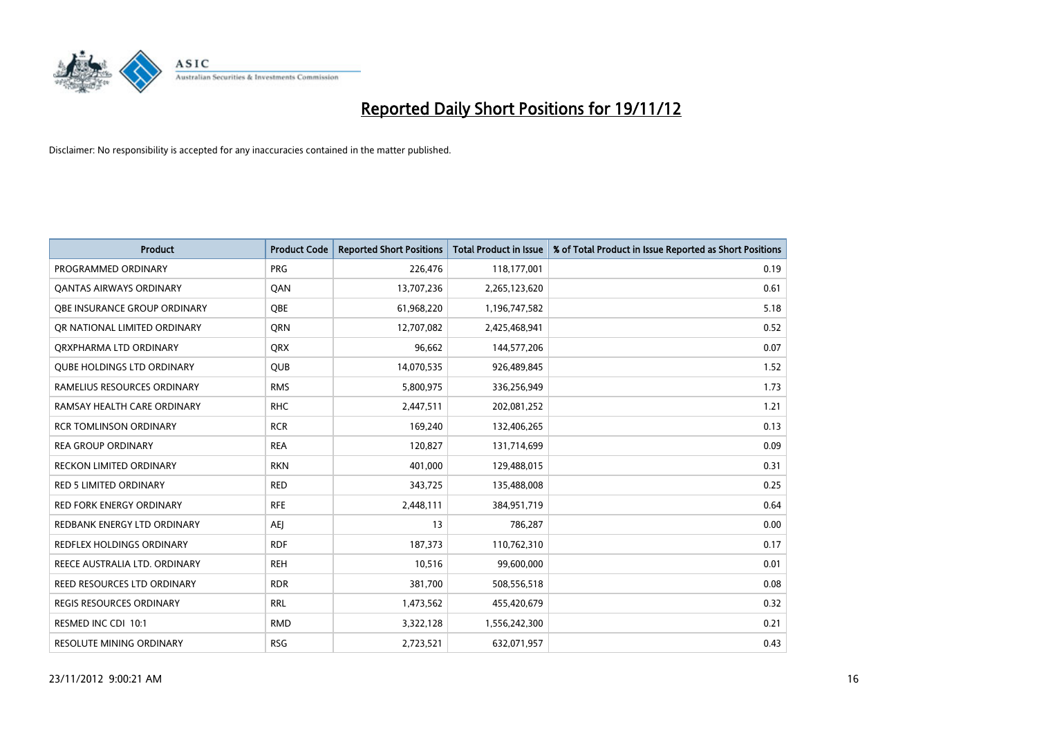

| <b>Product</b>                    | <b>Product Code</b> | <b>Reported Short Positions</b> | <b>Total Product in Issue</b> | % of Total Product in Issue Reported as Short Positions |
|-----------------------------------|---------------------|---------------------------------|-------------------------------|---------------------------------------------------------|
| PROGRAMMED ORDINARY               | <b>PRG</b>          | 226,476                         | 118,177,001                   | 0.19                                                    |
| <b>QANTAS AIRWAYS ORDINARY</b>    | QAN                 | 13,707,236                      | 2,265,123,620                 | 0.61                                                    |
| OBE INSURANCE GROUP ORDINARY      | <b>OBE</b>          | 61,968,220                      | 1,196,747,582                 | 5.18                                                    |
| OR NATIONAL LIMITED ORDINARY      | <b>ORN</b>          | 12,707,082                      | 2,425,468,941                 | 0.52                                                    |
| ORXPHARMA LTD ORDINARY            | <b>QRX</b>          | 96,662                          | 144,577,206                   | 0.07                                                    |
| <b>QUBE HOLDINGS LTD ORDINARY</b> | <b>QUB</b>          | 14,070,535                      | 926,489,845                   | 1.52                                                    |
| RAMELIUS RESOURCES ORDINARY       | <b>RMS</b>          | 5,800,975                       | 336,256,949                   | 1.73                                                    |
| RAMSAY HEALTH CARE ORDINARY       | <b>RHC</b>          | 2,447,511                       | 202,081,252                   | 1.21                                                    |
| <b>RCR TOMLINSON ORDINARY</b>     | <b>RCR</b>          | 169,240                         | 132,406,265                   | 0.13                                                    |
| <b>REA GROUP ORDINARY</b>         | <b>REA</b>          | 120,827                         | 131,714,699                   | 0.09                                                    |
| RECKON LIMITED ORDINARY           | <b>RKN</b>          | 401,000                         | 129,488,015                   | 0.31                                                    |
| <b>RED 5 LIMITED ORDINARY</b>     | <b>RED</b>          | 343,725                         | 135,488,008                   | 0.25                                                    |
| RED FORK ENERGY ORDINARY          | <b>RFE</b>          | 2,448,111                       | 384,951,719                   | 0.64                                                    |
| REDBANK ENERGY LTD ORDINARY       | AEJ                 | 13                              | 786,287                       | 0.00                                                    |
| REDFLEX HOLDINGS ORDINARY         | <b>RDF</b>          | 187,373                         | 110,762,310                   | 0.17                                                    |
| REECE AUSTRALIA LTD. ORDINARY     | <b>REH</b>          | 10,516                          | 99,600,000                    | 0.01                                                    |
| REED RESOURCES LTD ORDINARY       | <b>RDR</b>          | 381,700                         | 508,556,518                   | 0.08                                                    |
| REGIS RESOURCES ORDINARY          | <b>RRL</b>          | 1,473,562                       | 455,420,679                   | 0.32                                                    |
| RESMED INC CDI 10:1               | <b>RMD</b>          | 3,322,128                       | 1,556,242,300                 | 0.21                                                    |
| RESOLUTE MINING ORDINARY          | <b>RSG</b>          | 2,723,521                       | 632,071,957                   | 0.43                                                    |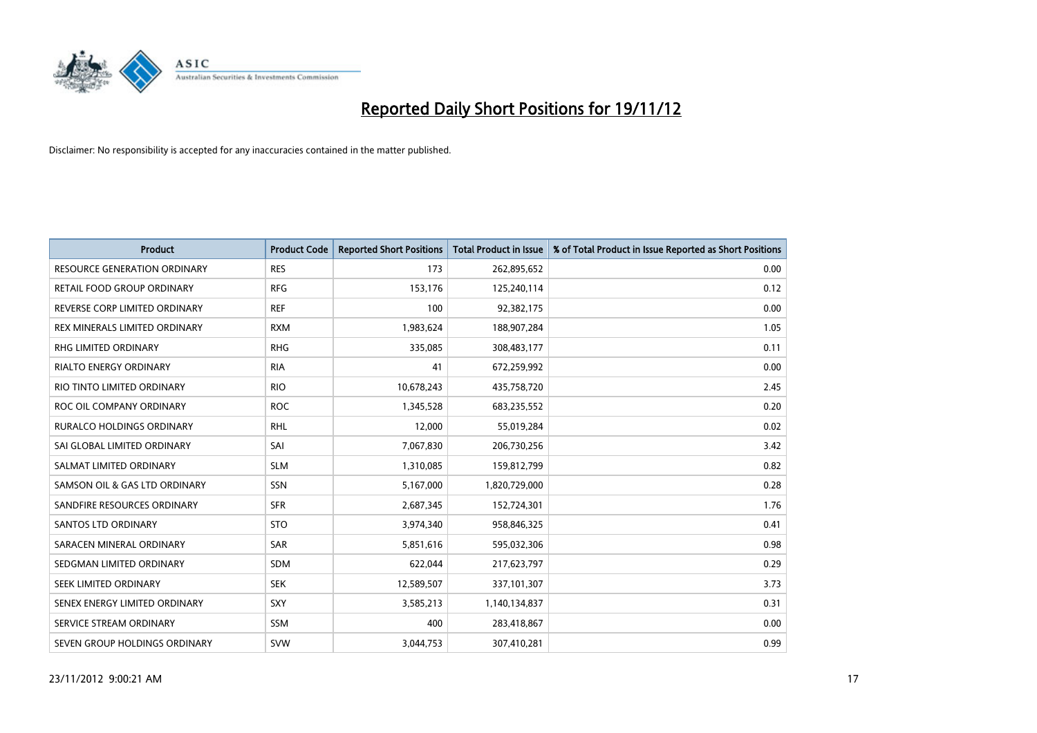

| <b>Product</b>                      | <b>Product Code</b> | <b>Reported Short Positions</b> | <b>Total Product in Issue</b> | % of Total Product in Issue Reported as Short Positions |
|-------------------------------------|---------------------|---------------------------------|-------------------------------|---------------------------------------------------------|
| <b>RESOURCE GENERATION ORDINARY</b> | <b>RES</b>          | 173                             | 262,895,652                   | 0.00                                                    |
| RETAIL FOOD GROUP ORDINARY          | <b>RFG</b>          | 153,176                         | 125,240,114                   | 0.12                                                    |
| REVERSE CORP LIMITED ORDINARY       | <b>REF</b>          | 100                             | 92,382,175                    | 0.00                                                    |
| REX MINERALS LIMITED ORDINARY       | <b>RXM</b>          | 1,983,624                       | 188,907,284                   | 1.05                                                    |
| <b>RHG LIMITED ORDINARY</b>         | <b>RHG</b>          | 335,085                         | 308,483,177                   | 0.11                                                    |
| <b>RIALTO ENERGY ORDINARY</b>       | <b>RIA</b>          | 41                              | 672,259,992                   | 0.00                                                    |
| RIO TINTO LIMITED ORDINARY          | <b>RIO</b>          | 10,678,243                      | 435,758,720                   | 2.45                                                    |
| ROC OIL COMPANY ORDINARY            | <b>ROC</b>          | 1,345,528                       | 683,235,552                   | 0.20                                                    |
| RURALCO HOLDINGS ORDINARY           | <b>RHL</b>          | 12,000                          | 55,019,284                    | 0.02                                                    |
| SAI GLOBAL LIMITED ORDINARY         | SAI                 | 7,067,830                       | 206,730,256                   | 3.42                                                    |
| SALMAT LIMITED ORDINARY             | <b>SLM</b>          | 1,310,085                       | 159,812,799                   | 0.82                                                    |
| SAMSON OIL & GAS LTD ORDINARY       | SSN                 | 5,167,000                       | 1,820,729,000                 | 0.28                                                    |
| SANDFIRE RESOURCES ORDINARY         | <b>SFR</b>          | 2,687,345                       | 152,724,301                   | 1.76                                                    |
| <b>SANTOS LTD ORDINARY</b>          | <b>STO</b>          | 3,974,340                       | 958,846,325                   | 0.41                                                    |
| SARACEN MINERAL ORDINARY            | SAR                 | 5,851,616                       | 595,032,306                   | 0.98                                                    |
| SEDGMAN LIMITED ORDINARY            | <b>SDM</b>          | 622.044                         | 217,623,797                   | 0.29                                                    |
| SEEK LIMITED ORDINARY               | <b>SEK</b>          | 12,589,507                      | 337,101,307                   | 3.73                                                    |
| SENEX ENERGY LIMITED ORDINARY       | <b>SXY</b>          | 3,585,213                       | 1,140,134,837                 | 0.31                                                    |
| SERVICE STREAM ORDINARY             | <b>SSM</b>          | 400                             | 283,418,867                   | 0.00                                                    |
| SEVEN GROUP HOLDINGS ORDINARY       | <b>SVW</b>          | 3,044,753                       | 307,410,281                   | 0.99                                                    |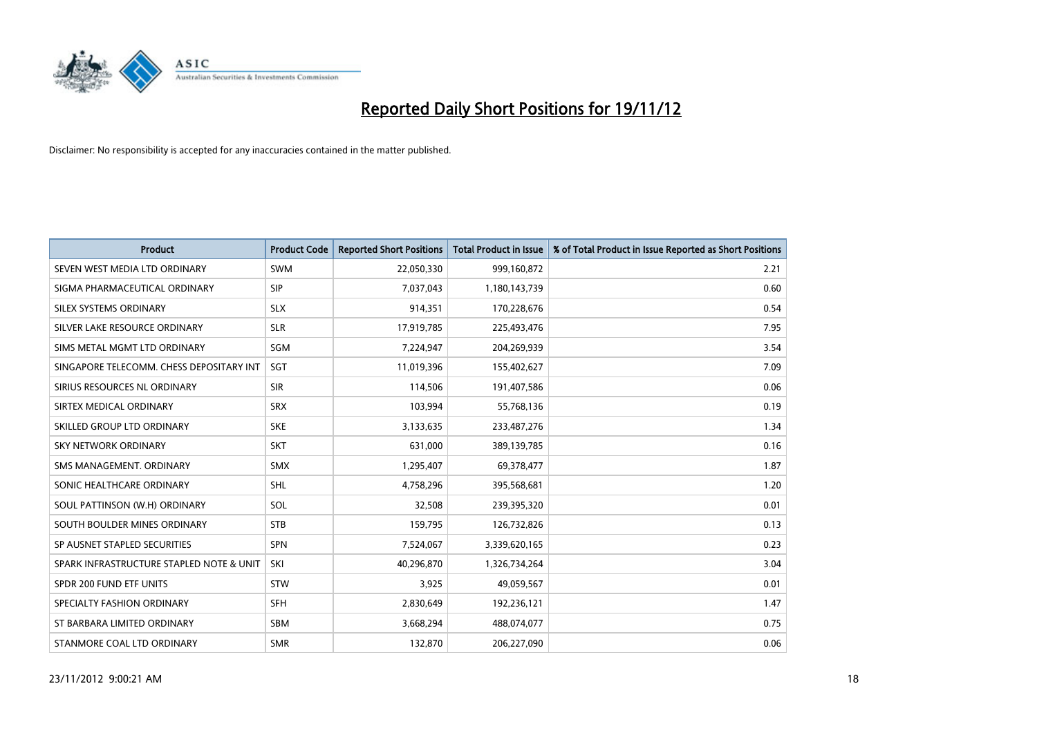

| <b>Product</b>                           | <b>Product Code</b> | <b>Reported Short Positions</b> | <b>Total Product in Issue</b> | % of Total Product in Issue Reported as Short Positions |
|------------------------------------------|---------------------|---------------------------------|-------------------------------|---------------------------------------------------------|
| SEVEN WEST MEDIA LTD ORDINARY            | <b>SWM</b>          | 22,050,330                      | 999,160,872                   | 2.21                                                    |
| SIGMA PHARMACEUTICAL ORDINARY            | <b>SIP</b>          | 7,037,043                       | 1,180,143,739                 | 0.60                                                    |
| SILEX SYSTEMS ORDINARY                   | <b>SLX</b>          | 914,351                         | 170,228,676                   | 0.54                                                    |
| SILVER LAKE RESOURCE ORDINARY            | <b>SLR</b>          | 17,919,785                      | 225,493,476                   | 7.95                                                    |
| SIMS METAL MGMT LTD ORDINARY             | SGM                 | 7,224,947                       | 204,269,939                   | 3.54                                                    |
| SINGAPORE TELECOMM. CHESS DEPOSITARY INT | <b>SGT</b>          | 11,019,396                      | 155,402,627                   | 7.09                                                    |
| SIRIUS RESOURCES NL ORDINARY             | <b>SIR</b>          | 114,506                         | 191,407,586                   | 0.06                                                    |
| SIRTEX MEDICAL ORDINARY                  | <b>SRX</b>          | 103,994                         | 55,768,136                    | 0.19                                                    |
| SKILLED GROUP LTD ORDINARY               | <b>SKE</b>          | 3,133,635                       | 233,487,276                   | 1.34                                                    |
| <b>SKY NETWORK ORDINARY</b>              | <b>SKT</b>          | 631,000                         | 389,139,785                   | 0.16                                                    |
| SMS MANAGEMENT. ORDINARY                 | <b>SMX</b>          | 1,295,407                       | 69,378,477                    | 1.87                                                    |
| SONIC HEALTHCARE ORDINARY                | <b>SHL</b>          | 4,758,296                       | 395,568,681                   | 1.20                                                    |
| SOUL PATTINSON (W.H) ORDINARY            | SOL                 | 32,508                          | 239,395,320                   | 0.01                                                    |
| SOUTH BOULDER MINES ORDINARY             | <b>STB</b>          | 159,795                         | 126,732,826                   | 0.13                                                    |
| SP AUSNET STAPLED SECURITIES             | <b>SPN</b>          | 7,524,067                       | 3,339,620,165                 | 0.23                                                    |
| SPARK INFRASTRUCTURE STAPLED NOTE & UNIT | SKI                 | 40,296,870                      | 1,326,734,264                 | 3.04                                                    |
| SPDR 200 FUND ETF UNITS                  | <b>STW</b>          | 3,925                           | 49,059,567                    | 0.01                                                    |
| SPECIALTY FASHION ORDINARY               | <b>SFH</b>          | 2,830,649                       | 192,236,121                   | 1.47                                                    |
| ST BARBARA LIMITED ORDINARY              | SBM                 | 3,668,294                       | 488,074,077                   | 0.75                                                    |
| STANMORE COAL LTD ORDINARY               | <b>SMR</b>          | 132,870                         | 206,227,090                   | 0.06                                                    |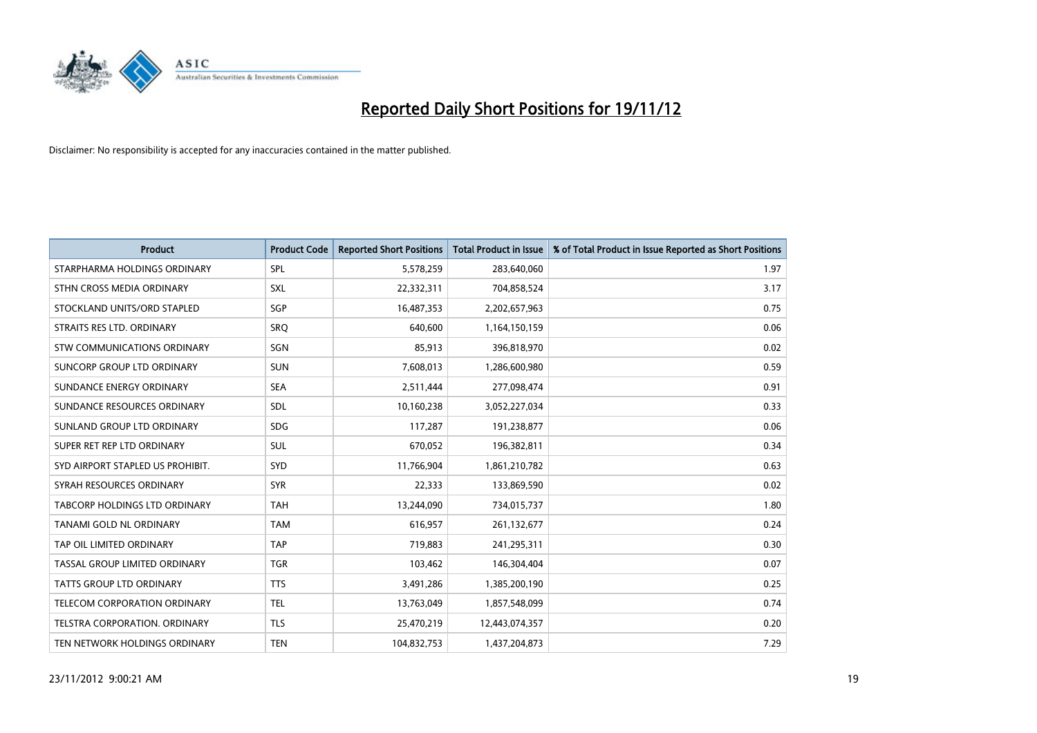

| <b>Product</b>                       | <b>Product Code</b> | <b>Reported Short Positions</b> | <b>Total Product in Issue</b> | % of Total Product in Issue Reported as Short Positions |
|--------------------------------------|---------------------|---------------------------------|-------------------------------|---------------------------------------------------------|
| STARPHARMA HOLDINGS ORDINARY         | SPL                 | 5,578,259                       | 283,640,060                   | 1.97                                                    |
| STHN CROSS MEDIA ORDINARY            | <b>SXL</b>          | 22,332,311                      | 704,858,524                   | 3.17                                                    |
| STOCKLAND UNITS/ORD STAPLED          | <b>SGP</b>          | 16,487,353                      | 2,202,657,963                 | 0.75                                                    |
| STRAITS RES LTD. ORDINARY            | <b>SRO</b>          | 640,600                         | 1,164,150,159                 | 0.06                                                    |
| <b>STW COMMUNICATIONS ORDINARY</b>   | SGN                 | 85,913                          | 396,818,970                   | 0.02                                                    |
| SUNCORP GROUP LTD ORDINARY           | <b>SUN</b>          | 7,608,013                       | 1,286,600,980                 | 0.59                                                    |
| SUNDANCE ENERGY ORDINARY             | <b>SEA</b>          | 2,511,444                       | 277,098,474                   | 0.91                                                    |
| SUNDANCE RESOURCES ORDINARY          | <b>SDL</b>          | 10,160,238                      | 3,052,227,034                 | 0.33                                                    |
| SUNLAND GROUP LTD ORDINARY           | <b>SDG</b>          | 117,287                         | 191,238,877                   | 0.06                                                    |
| SUPER RET REP LTD ORDINARY           | <b>SUL</b>          | 670,052                         | 196,382,811                   | 0.34                                                    |
| SYD AIRPORT STAPLED US PROHIBIT.     | <b>SYD</b>          | 11,766,904                      | 1,861,210,782                 | 0.63                                                    |
| SYRAH RESOURCES ORDINARY             | <b>SYR</b>          | 22,333                          | 133,869,590                   | 0.02                                                    |
| TABCORP HOLDINGS LTD ORDINARY        | <b>TAH</b>          | 13,244,090                      | 734,015,737                   | 1.80                                                    |
| <b>TANAMI GOLD NL ORDINARY</b>       | <b>TAM</b>          | 616,957                         | 261,132,677                   | 0.24                                                    |
| TAP OIL LIMITED ORDINARY             | <b>TAP</b>          | 719,883                         | 241,295,311                   | 0.30                                                    |
| TASSAL GROUP LIMITED ORDINARY        | <b>TGR</b>          | 103,462                         | 146,304,404                   | 0.07                                                    |
| <b>TATTS GROUP LTD ORDINARY</b>      | <b>TTS</b>          | 3,491,286                       | 1,385,200,190                 | 0.25                                                    |
| TELECOM CORPORATION ORDINARY         | <b>TEL</b>          | 13,763,049                      | 1,857,548,099                 | 0.74                                                    |
| <b>TELSTRA CORPORATION, ORDINARY</b> | <b>TLS</b>          | 25,470,219                      | 12,443,074,357                | 0.20                                                    |
| TEN NETWORK HOLDINGS ORDINARY        | <b>TEN</b>          | 104,832,753                     | 1,437,204,873                 | 7.29                                                    |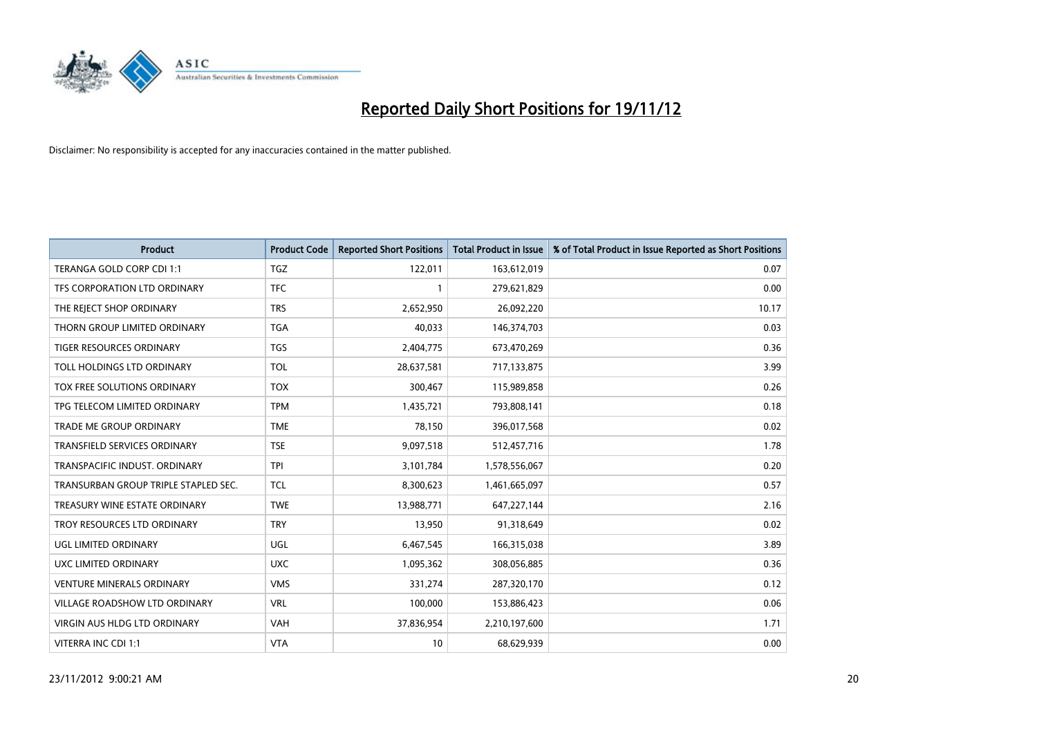

| <b>Product</b>                       | <b>Product Code</b> | <b>Reported Short Positions</b> | <b>Total Product in Issue</b> | % of Total Product in Issue Reported as Short Positions |
|--------------------------------------|---------------------|---------------------------------|-------------------------------|---------------------------------------------------------|
| TERANGA GOLD CORP CDI 1:1            | <b>TGZ</b>          | 122,011                         | 163,612,019                   | 0.07                                                    |
| TFS CORPORATION LTD ORDINARY         | <b>TFC</b>          |                                 | 279,621,829                   | 0.00                                                    |
| THE REJECT SHOP ORDINARY             | <b>TRS</b>          | 2,652,950                       | 26,092,220                    | 10.17                                                   |
| THORN GROUP LIMITED ORDINARY         | <b>TGA</b>          | 40,033                          | 146,374,703                   | 0.03                                                    |
| <b>TIGER RESOURCES ORDINARY</b>      | <b>TGS</b>          | 2,404,775                       | 673,470,269                   | 0.36                                                    |
| TOLL HOLDINGS LTD ORDINARY           | <b>TOL</b>          | 28,637,581                      | 717,133,875                   | 3.99                                                    |
| TOX FREE SOLUTIONS ORDINARY          | <b>TOX</b>          | 300,467                         | 115,989,858                   | 0.26                                                    |
| TPG TELECOM LIMITED ORDINARY         | <b>TPM</b>          | 1,435,721                       | 793,808,141                   | 0.18                                                    |
| <b>TRADE ME GROUP ORDINARY</b>       | <b>TME</b>          | 78,150                          | 396,017,568                   | 0.02                                                    |
| <b>TRANSFIELD SERVICES ORDINARY</b>  | <b>TSE</b>          | 9,097,518                       | 512,457,716                   | 1.78                                                    |
| TRANSPACIFIC INDUST. ORDINARY        | <b>TPI</b>          | 3,101,784                       | 1,578,556,067                 | 0.20                                                    |
| TRANSURBAN GROUP TRIPLE STAPLED SEC. | <b>TCL</b>          | 8,300,623                       | 1,461,665,097                 | 0.57                                                    |
| TREASURY WINE ESTATE ORDINARY        | <b>TWE</b>          | 13,988,771                      | 647,227,144                   | 2.16                                                    |
| TROY RESOURCES LTD ORDINARY          | <b>TRY</b>          | 13,950                          | 91,318,649                    | 0.02                                                    |
| UGL LIMITED ORDINARY                 | <b>UGL</b>          | 6,467,545                       | 166,315,038                   | 3.89                                                    |
| UXC LIMITED ORDINARY                 | <b>UXC</b>          | 1,095,362                       | 308,056,885                   | 0.36                                                    |
| <b>VENTURE MINERALS ORDINARY</b>     | <b>VMS</b>          | 331,274                         | 287,320,170                   | 0.12                                                    |
| VILLAGE ROADSHOW LTD ORDINARY        | <b>VRL</b>          | 100,000                         | 153,886,423                   | 0.06                                                    |
| <b>VIRGIN AUS HLDG LTD ORDINARY</b>  | <b>VAH</b>          | 37,836,954                      | 2,210,197,600                 | 1.71                                                    |
| VITERRA INC CDI 1:1                  | <b>VTA</b>          | 10                              | 68,629,939                    | 0.00                                                    |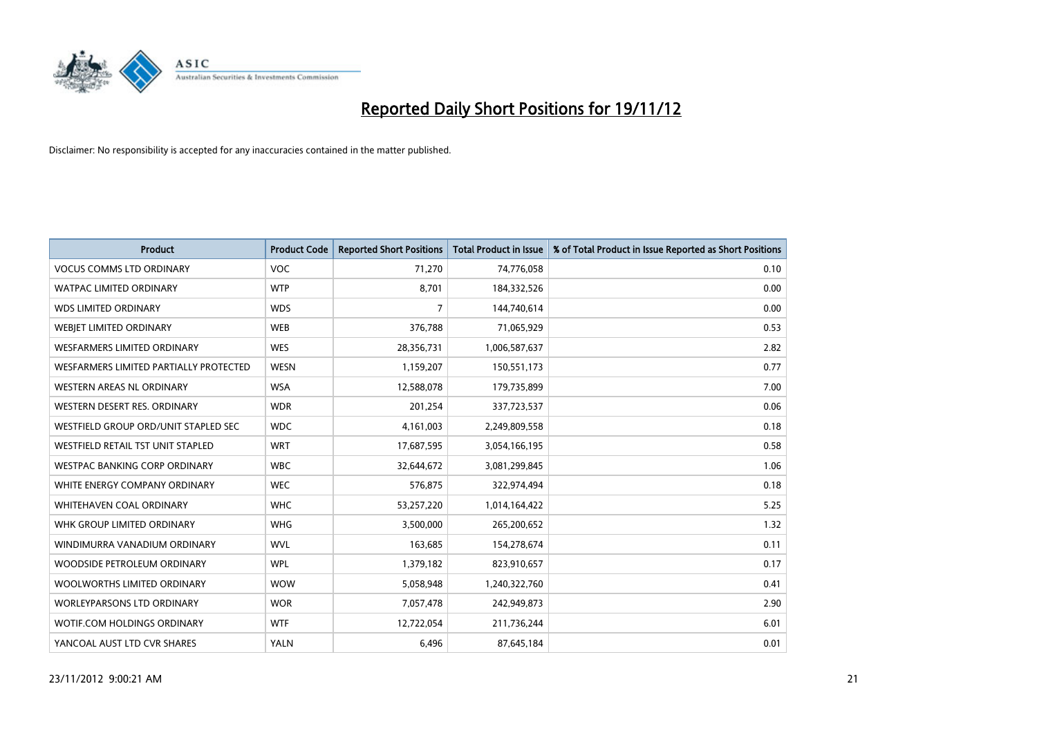

| <b>Product</b>                           | <b>Product Code</b> | <b>Reported Short Positions</b> | <b>Total Product in Issue</b> | % of Total Product in Issue Reported as Short Positions |
|------------------------------------------|---------------------|---------------------------------|-------------------------------|---------------------------------------------------------|
| <b>VOCUS COMMS LTD ORDINARY</b>          | <b>VOC</b>          | 71,270                          | 74,776,058                    | 0.10                                                    |
| <b>WATPAC LIMITED ORDINARY</b>           | <b>WTP</b>          | 8,701                           | 184,332,526                   | 0.00                                                    |
| <b>WDS LIMITED ORDINARY</b>              | <b>WDS</b>          | 7                               | 144,740,614                   | 0.00                                                    |
| WEBIET LIMITED ORDINARY                  | <b>WEB</b>          | 376,788                         | 71,065,929                    | 0.53                                                    |
| <b>WESFARMERS LIMITED ORDINARY</b>       | <b>WES</b>          | 28,356,731                      | 1,006,587,637                 | 2.82                                                    |
| WESFARMERS LIMITED PARTIALLY PROTECTED   | <b>WESN</b>         | 1,159,207                       | 150,551,173                   | 0.77                                                    |
| WESTERN AREAS NL ORDINARY                | <b>WSA</b>          | 12,588,078                      | 179,735,899                   | 7.00                                                    |
| WESTERN DESERT RES. ORDINARY             | <b>WDR</b>          | 201,254                         | 337,723,537                   | 0.06                                                    |
| WESTFIELD GROUP ORD/UNIT STAPLED SEC     | <b>WDC</b>          | 4,161,003                       | 2,249,809,558                 | 0.18                                                    |
| <b>WESTFIELD RETAIL TST UNIT STAPLED</b> | <b>WRT</b>          | 17,687,595                      | 3,054,166,195                 | 0.58                                                    |
| <b>WESTPAC BANKING CORP ORDINARY</b>     | <b>WBC</b>          | 32,644,672                      | 3,081,299,845                 | 1.06                                                    |
| WHITE ENERGY COMPANY ORDINARY            | <b>WEC</b>          | 576,875                         | 322,974,494                   | 0.18                                                    |
| WHITEHAVEN COAL ORDINARY                 | <b>WHC</b>          | 53,257,220                      | 1,014,164,422                 | 5.25                                                    |
| WHK GROUP LIMITED ORDINARY               | <b>WHG</b>          | 3,500,000                       | 265,200,652                   | 1.32                                                    |
| WINDIMURRA VANADIUM ORDINARY             | <b>WVL</b>          | 163,685                         | 154,278,674                   | 0.11                                                    |
| WOODSIDE PETROLEUM ORDINARY              | <b>WPL</b>          | 1,379,182                       | 823,910,657                   | 0.17                                                    |
| WOOLWORTHS LIMITED ORDINARY              | <b>WOW</b>          | 5,058,948                       | 1,240,322,760                 | 0.41                                                    |
| <b>WORLEYPARSONS LTD ORDINARY</b>        | <b>WOR</b>          | 7,057,478                       | 242,949,873                   | 2.90                                                    |
| <b>WOTIF.COM HOLDINGS ORDINARY</b>       | <b>WTF</b>          | 12,722,054                      | 211,736,244                   | 6.01                                                    |
| YANCOAL AUST LTD CVR SHARES              | <b>YALN</b>         | 6,496                           | 87,645,184                    | 0.01                                                    |